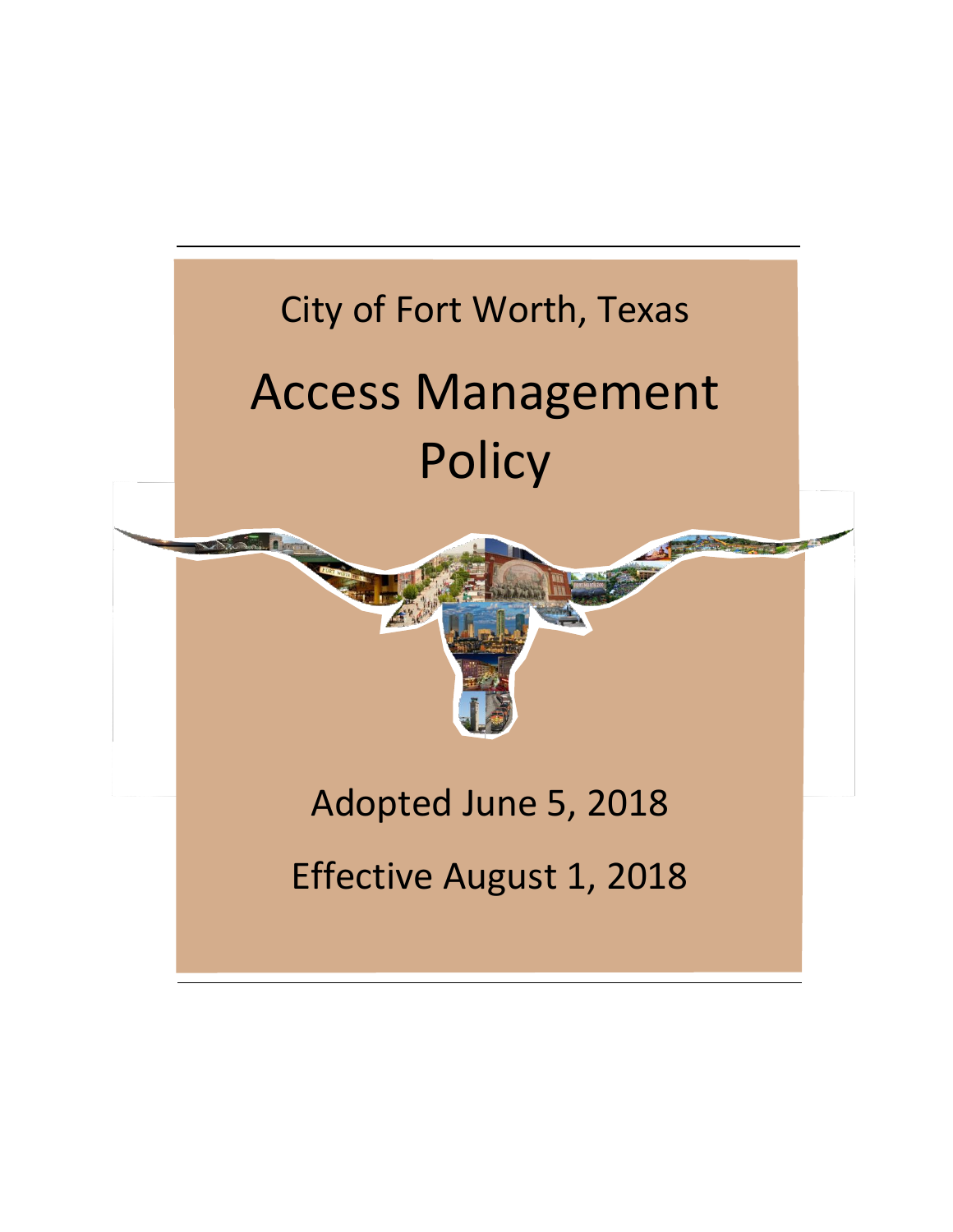## City of Fort Worth, Texas Access Management **Policy**



Effective August 1, 2018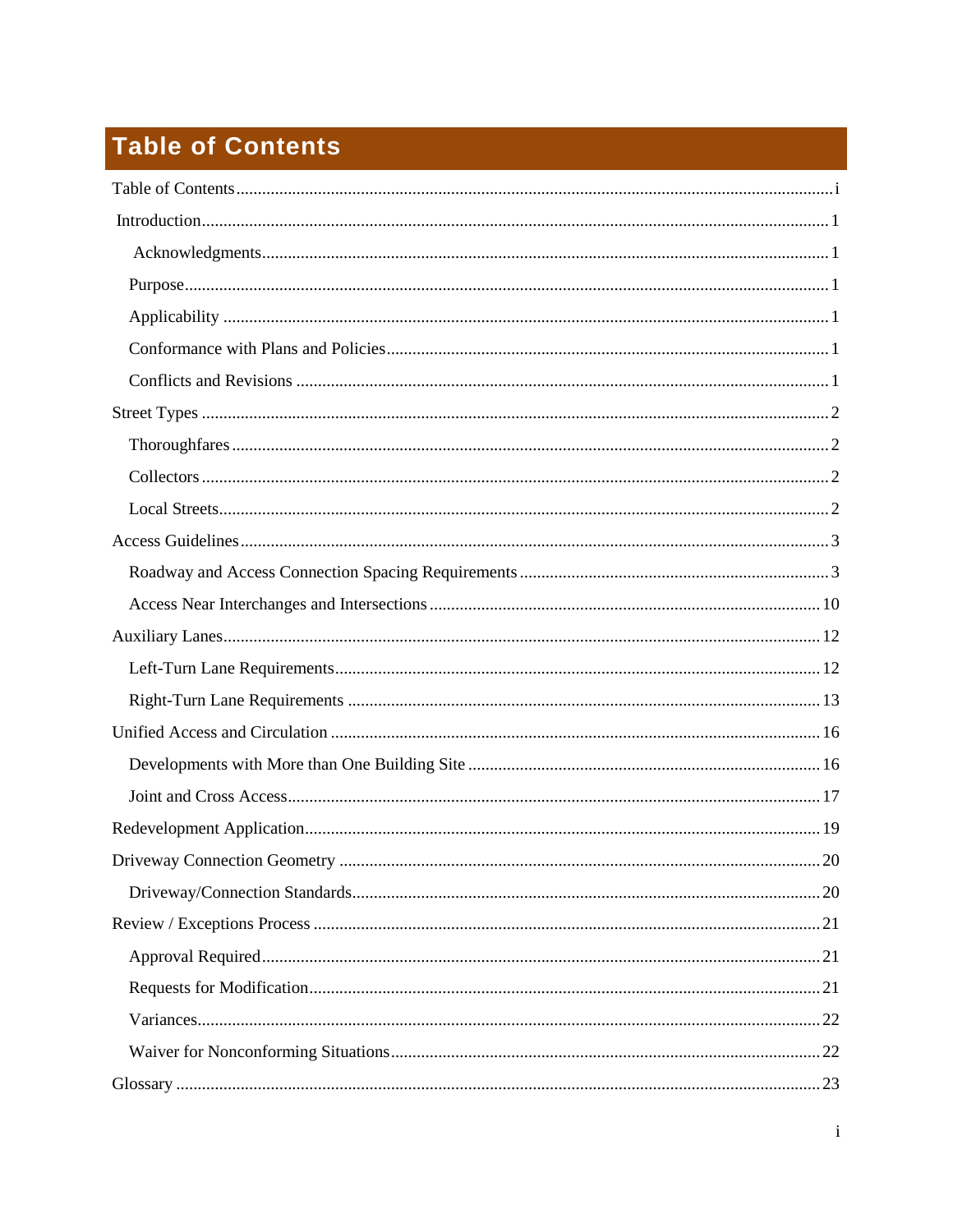## <span id="page-1-0"></span>**Table of Contents**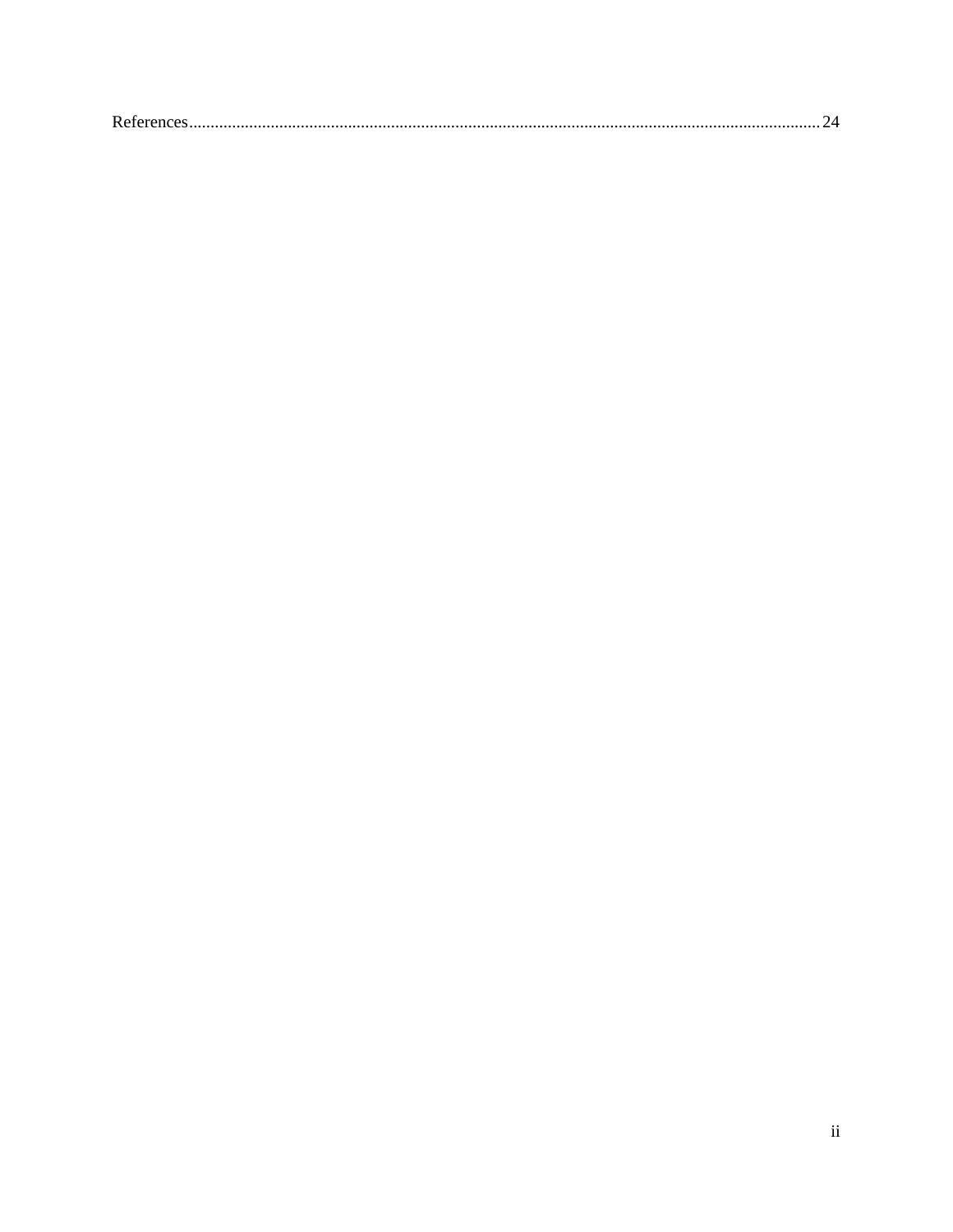| $\mathbf{D}$ . |
|----------------|
|----------------|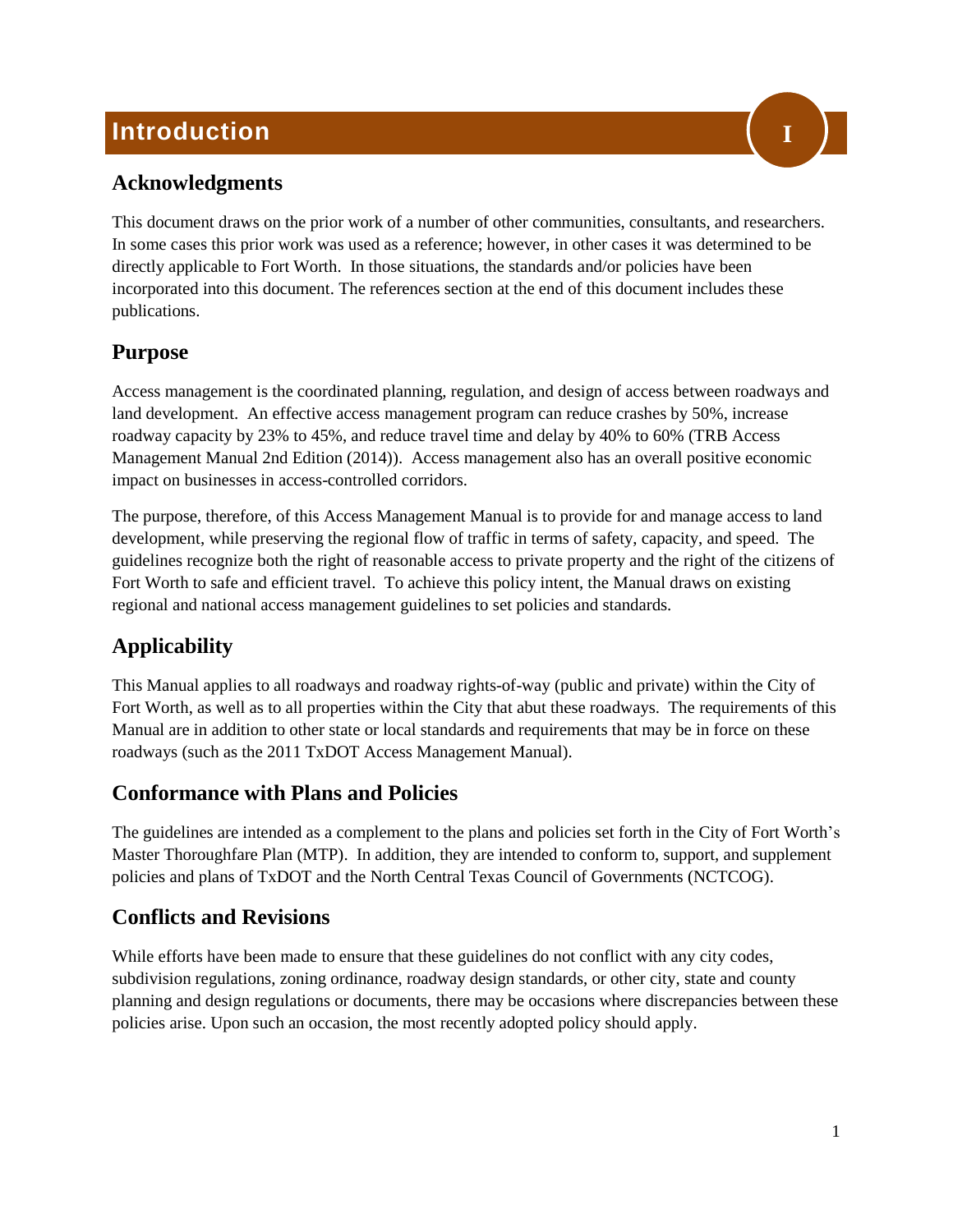## <span id="page-3-0"></span>**Introduction**



## <span id="page-3-1"></span>**Acknowledgments**

This document draws on the prior work of a number of other communities, consultants, and researchers. In some cases this prior work was used as a reference; however, in other cases it was determined to be directly applicable to Fort Worth. In those situations, the standards and/or policies have been incorporated into this document. The references section at the end of this document includes these publications.

## <span id="page-3-2"></span>**Purpose**

Access management is the coordinated planning, regulation, and design of access between roadways and land development. An effective access management program can reduce crashes by 50%, increase roadway capacity by 23% to 45%, and reduce travel time and delay by 40% to 60% (TRB Access Management Manual 2nd Edition (2014)). Access management also has an overall positive economic impact on businesses in access-controlled corridors.

The purpose, therefore, of this Access Management Manual is to provide for and manage access to land development, while preserving the regional flow of traffic in terms of safety, capacity, and speed. The guidelines recognize both the right of reasonable access to private property and the right of the citizens of Fort Worth to safe and efficient travel. To achieve this policy intent, the Manual draws on existing regional and national access management guidelines to set policies and standards.

## <span id="page-3-3"></span>**Applicability**

This Manual applies to all roadways and roadway rights-of-way (public and private) within the City of Fort Worth, as well as to all properties within the City that abut these roadways. The requirements of this Manual are in addition to other state or local standards and requirements that may be in force on these roadways (such as the 2011 TxDOT Access Management Manual).

## <span id="page-3-4"></span>**Conformance with Plans and Policies**

The guidelines are intended as a complement to the plans and policies set forth in the City of Fort Worth's Master Thoroughfare Plan (MTP). In addition, they are intended to conform to, support, and supplement policies and plans of TxDOT and the North Central Texas Council of Governments (NCTCOG).

## <span id="page-3-5"></span>**Conflicts and Revisions**

While efforts have been made to ensure that these guidelines do not conflict with any city codes, subdivision regulations, zoning ordinance, roadway design standards, or other city, state and county planning and design regulations or documents, there may be occasions where discrepancies between these policies arise. Upon such an occasion, the most recently adopted policy should apply.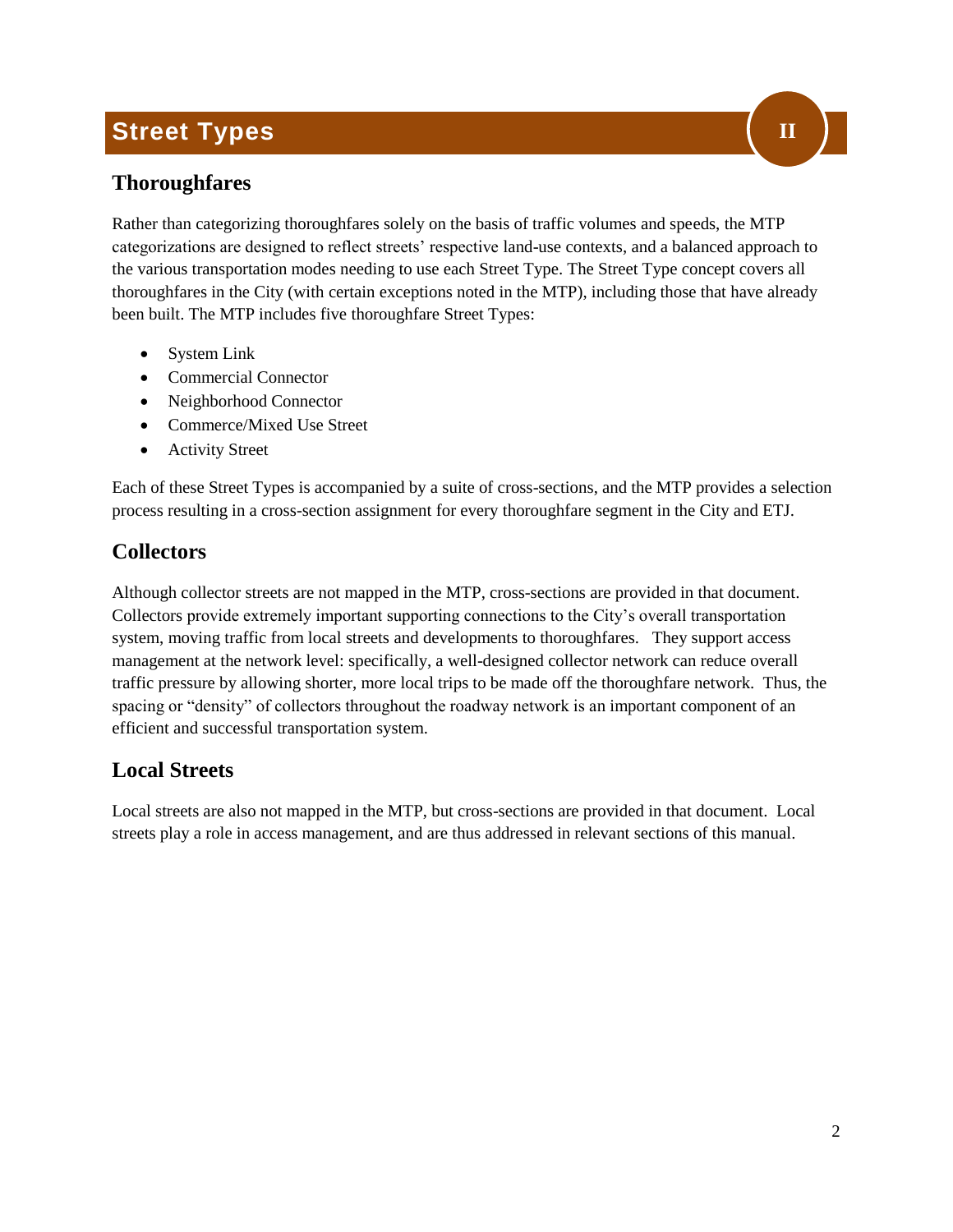## <span id="page-4-0"></span>**Street Types**

## <span id="page-4-1"></span>**Thoroughfares**

Rather than categorizing thoroughfares solely on the basis of traffic volumes and speeds, the MTP categorizations are designed to reflect streets' respective land-use contexts, and a balanced approach to the various transportation modes needing to use each Street Type. The Street Type concept covers all thoroughfares in the City (with certain exceptions noted in the MTP), including those that have already been built. The MTP includes five thoroughfare Street Types:

- System Link
- Commercial Connector
- Neighborhood Connector
- Commerce/Mixed Use Street
- Activity Street

Each of these Street Types is accompanied by a suite of cross-sections, and the MTP provides a selection process resulting in a cross-section assignment for every thoroughfare segment in the City and ETJ.

## <span id="page-4-2"></span>**Collectors**

Although collector streets are not mapped in the MTP, cross-sections are provided in that document. Collectors provide extremely important supporting connections to the City's overall transportation system, moving traffic from local streets and developments to thoroughfares. They support access management at the network level: specifically, a well-designed collector network can reduce overall traffic pressure by allowing shorter, more local trips to be made off the thoroughfare network. Thus, the spacing or "density" of collectors throughout the roadway network is an important component of an efficient and successful transportation system.

## <span id="page-4-3"></span>**Local Streets**

Local streets are also not mapped in the MTP, but cross-sections are provided in that document. Local streets play a role in access management, and are thus addressed in relevant sections of this manual.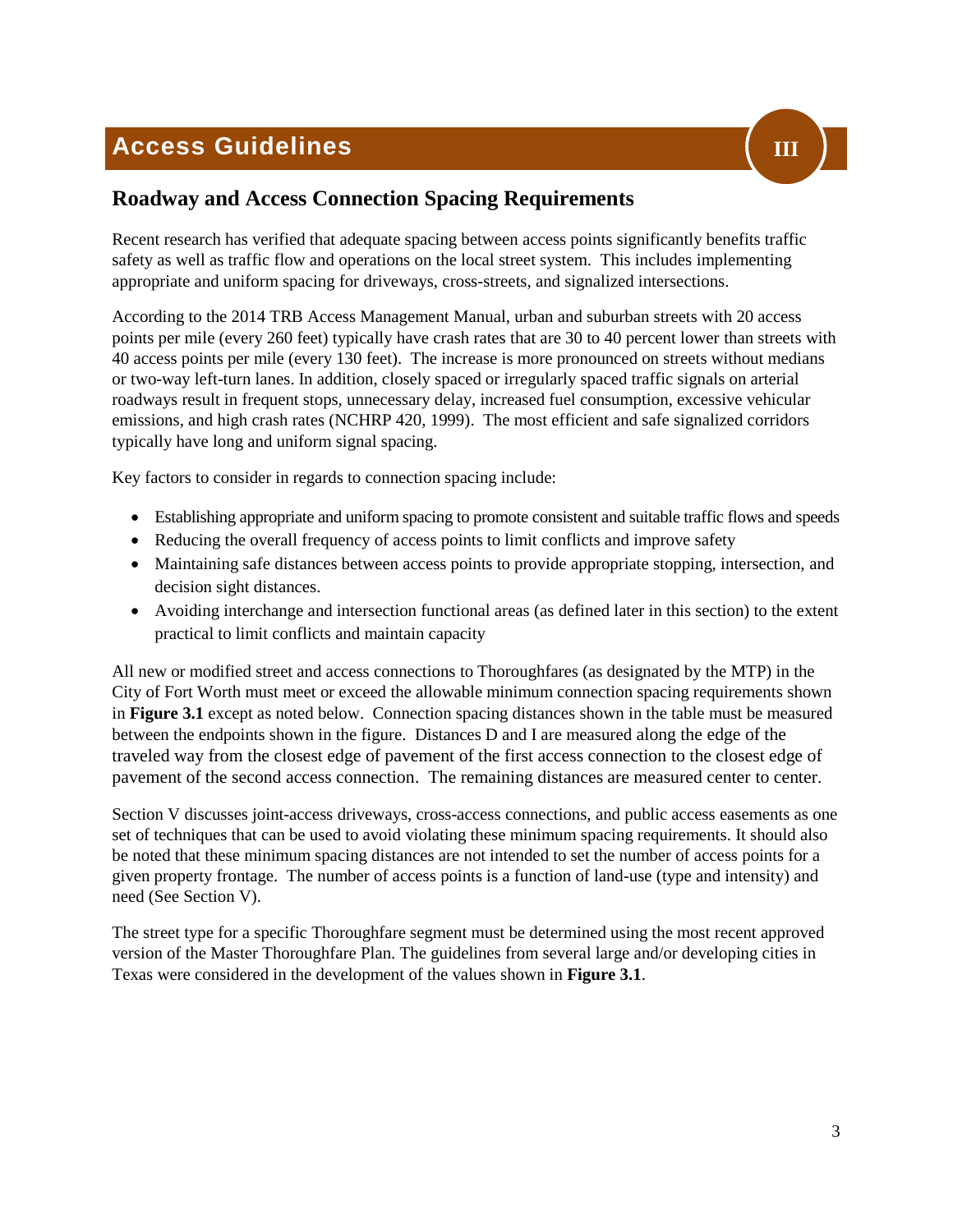## <span id="page-5-0"></span>**Access Guidelines**



## <span id="page-5-1"></span>**Roadway and Access Connection Spacing Requirements**

Recent research has verified that adequate spacing between access points significantly benefits traffic safety as well as traffic flow and operations on the local street system. This includes implementing appropriate and uniform spacing for driveways, cross-streets, and signalized intersections.

According to the 2014 TRB Access Management Manual, urban and suburban streets with 20 access points per mile (every 260 feet) typically have crash rates that are 30 to 40 percent lower than streets with 40 access points per mile (every 130 feet). The increase is more pronounced on streets without medians or two-way left-turn lanes. In addition, closely spaced or irregularly spaced traffic signals on arterial roadways result in frequent stops, unnecessary delay, increased fuel consumption, excessive vehicular emissions, and high crash rates (NCHRP 420, 1999). The most efficient and safe signalized corridors typically have long and uniform signal spacing.

Key factors to consider in regards to connection spacing include:

- Establishing appropriate and uniform spacing to promote consistent and suitable traffic flows and speeds
- Reducing the overall frequency of access points to limit conflicts and improve safety
- Maintaining safe distances between access points to provide appropriate stopping, intersection, and decision sight distances.
- Avoiding interchange and intersection functional areas (as defined later in this section) to the extent practical to limit conflicts and maintain capacity

All new or modified street and access connections to Thoroughfares (as designated by the MTP) in the City of Fort Worth must meet or exceed the allowable minimum connection spacing requirements shown in **Figure 3.1** except as noted below. Connection spacing distances shown in the table must be measured between the endpoints shown in the figure. Distances D and I are measured along the edge of the traveled way from the closest edge of pavement of the first access connection to the closest edge of pavement of the second access connection. The remaining distances are measured center to center.

Section V discusses joint-access driveways, cross-access connections, and public access easements as one set of techniques that can be used to avoid violating these minimum spacing requirements. It should also be noted that these minimum spacing distances are not intended to set the number of access points for a given property frontage. The number of access points is a function of land-use (type and intensity) and need (See Section V).

The street type for a specific Thoroughfare segment must be determined using the most recent approved version of the Master Thoroughfare Plan. The guidelines from several large and/or developing cities in Texas were considered in the development of the values shown in **Figure 3.1**.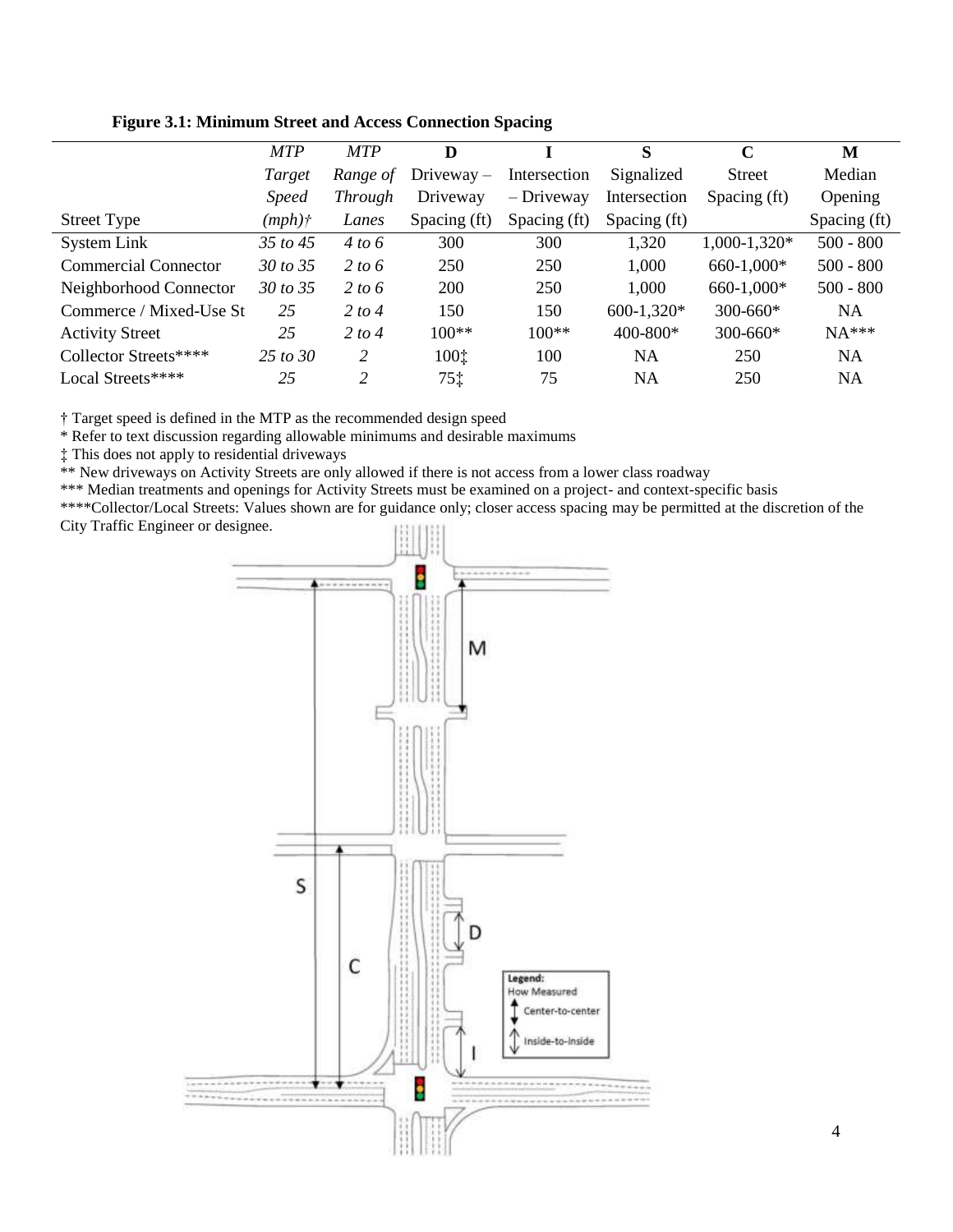|                             | <b>MTP</b>          | <b>MTP</b>     | D            |              | S            | $\mathbf C$    | М            |
|-----------------------------|---------------------|----------------|--------------|--------------|--------------|----------------|--------------|
|                             | Target              | Range of       | $Diveway -$  | Intersection | Signalized   | Street         | Median       |
|                             | <i>Speed</i>        | <i>Through</i> | Driveway     | $-$ Driveway | Intersection | Spacing (ft)   | Opening      |
| <b>Street Type</b>          | $(mph)$ †           | Lanes          | Spacing (ft) | Spacing (ft) | Spacing (ft) |                | Spacing (ft) |
| System Link                 | 35 to 45            | 4 to 6         | 300          | 300          | 1,320        | $1,000-1,320*$ | $500 - 800$  |
| <b>Commercial Connector</b> | 30 to 35            | 2 to 6         | 250          | 250          | 1,000        | 660-1,000*     | $500 - 800$  |
| Neighborhood Connector      | 30 to 35            | 2 to 6         | 200          | 250          | 1,000        | 660-1,000*     | $500 - 800$  |
| Commerce / Mixed-Use St     | 25                  | 2 to 4         | 150          | 150          | $600-1,320*$ | $300 - 660*$   | <b>NA</b>    |
| <b>Activity Street</b>      | 25                  | 2 to 4         | $100**$      | $100**$      | $400 - 800*$ | $300 - 660*$   | $NA***$      |
| Collector Streets****       | $25 \text{ to } 30$ | 2              | 1001         | 100          | <b>NA</b>    | 250            | <b>NA</b>    |
| Local Streets****           | 25                  | $\overline{c}$ | 751          | 75           | NA           | 250            | NA           |

**Figure 3.1: Minimum Street and Access Connection Spacing** 

† Target speed is defined in the MTP as the recommended design speed

\* Refer to text discussion regarding allowable minimums and desirable maximums

‡ This does not apply to residential driveways

\*\* New driveways on Activity Streets are only allowed if there is not access from a lower class roadway

\*\*\* Median treatments and openings for Activity Streets must be examined on a project- and context-specific basis

\*\*\*\*Collector/Local Streets: Values shown are for guidance only; closer access spacing may be permitted at the discretion of the City Traffic Engineer or designee.

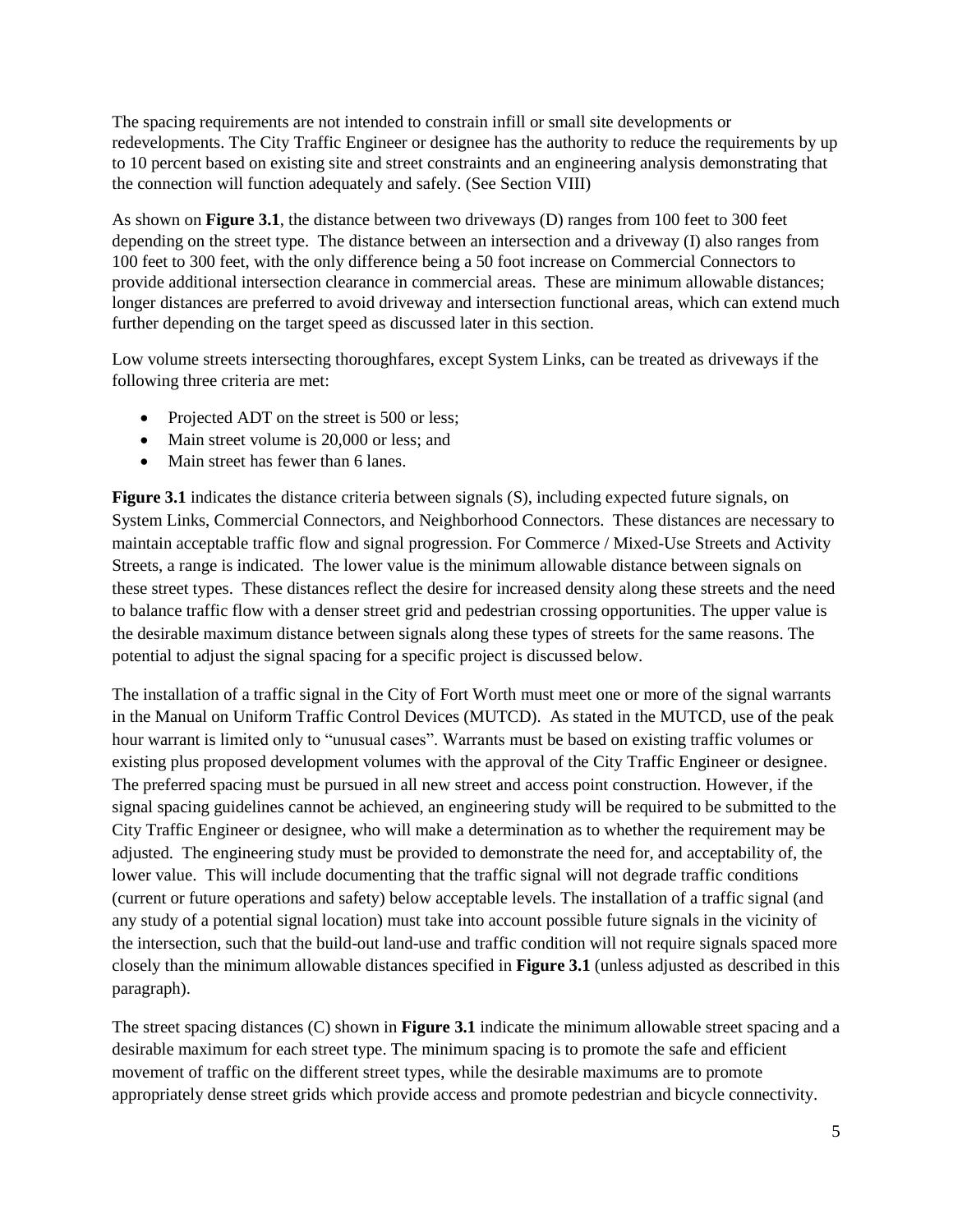The spacing requirements are not intended to constrain infill or small site developments or redevelopments. The City Traffic Engineer or designee has the authority to reduce the requirements by up to 10 percent based on existing site and street constraints and an engineering analysis demonstrating that the connection will function adequately and safely. (See Section VIII)

As shown on **Figure 3.1**, the distance between two driveways (D) ranges from 100 feet to 300 feet depending on the street type. The distance between an intersection and a driveway (I) also ranges from 100 feet to 300 feet, with the only difference being a 50 foot increase on Commercial Connectors to provide additional intersection clearance in commercial areas. These are minimum allowable distances; longer distances are preferred to avoid driveway and intersection functional areas, which can extend much further depending on the target speed as discussed later in this section.

Low volume streets intersecting thoroughfares, except System Links, can be treated as driveways if the following three criteria are met:

- Projected ADT on the street is 500 or less;
- Main street volume is 20,000 or less; and
- Main street has fewer than 6 lanes.

**Figure 3.1** indicates the distance criteria between signals (S), including expected future signals, on System Links, Commercial Connectors, and Neighborhood Connectors. These distances are necessary to maintain acceptable traffic flow and signal progression. For Commerce / Mixed-Use Streets and Activity Streets, a range is indicated. The lower value is the minimum allowable distance between signals on these street types. These distances reflect the desire for increased density along these streets and the need to balance traffic flow with a denser street grid and pedestrian crossing opportunities. The upper value is the desirable maximum distance between signals along these types of streets for the same reasons. The potential to adjust the signal spacing for a specific project is discussed below.

The installation of a traffic signal in the City of Fort Worth must meet one or more of the signal warrants in the Manual on Uniform Traffic Control Devices (MUTCD). As stated in the MUTCD, use of the peak hour warrant is limited only to "unusual cases". Warrants must be based on existing traffic volumes or existing plus proposed development volumes with the approval of the City Traffic Engineer or designee. The preferred spacing must be pursued in all new street and access point construction. However, if the signal spacing guidelines cannot be achieved, an engineering study will be required to be submitted to the City Traffic Engineer or designee, who will make a determination as to whether the requirement may be adjusted. The engineering study must be provided to demonstrate the need for, and acceptability of, the lower value. This will include documenting that the traffic signal will not degrade traffic conditions (current or future operations and safety) below acceptable levels. The installation of a traffic signal (and any study of a potential signal location) must take into account possible future signals in the vicinity of the intersection, such that the build-out land-use and traffic condition will not require signals spaced more closely than the minimum allowable distances specified in **Figure 3.1** (unless adjusted as described in this paragraph).

The street spacing distances (C) shown in **Figure 3.1** indicate the minimum allowable street spacing and a desirable maximum for each street type. The minimum spacing is to promote the safe and efficient movement of traffic on the different street types, while the desirable maximums are to promote appropriately dense street grids which provide access and promote pedestrian and bicycle connectivity.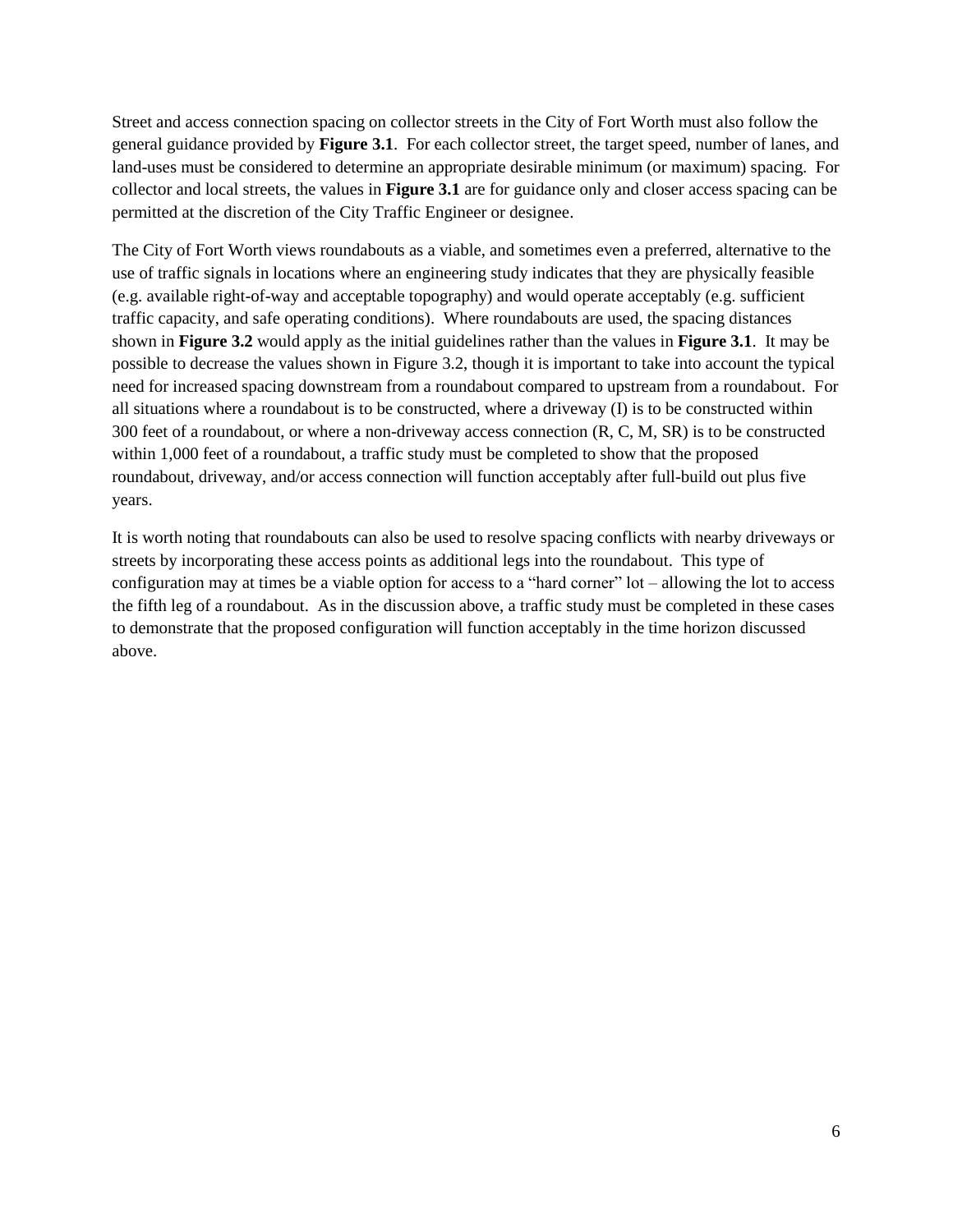Street and access connection spacing on collector streets in the City of Fort Worth must also follow the general guidance provided by **Figure 3.1**. For each collector street, the target speed, number of lanes, and land-uses must be considered to determine an appropriate desirable minimum (or maximum) spacing. For collector and local streets, the values in **Figure 3.1** are for guidance only and closer access spacing can be permitted at the discretion of the City Traffic Engineer or designee.

The City of Fort Worth views roundabouts as a viable, and sometimes even a preferred, alternative to the use of traffic signals in locations where an engineering study indicates that they are physically feasible (e.g. available right-of-way and acceptable topography) and would operate acceptably (e.g. sufficient traffic capacity, and safe operating conditions). Where roundabouts are used, the spacing distances shown in **Figure 3.2** would apply as the initial guidelines rather than the values in **Figure 3.1**. It may be possible to decrease the values shown in Figure 3.2, though it is important to take into account the typical need for increased spacing downstream from a roundabout compared to upstream from a roundabout. For all situations where a roundabout is to be constructed, where a driveway (I) is to be constructed within 300 feet of a roundabout, or where a non-driveway access connection (R, C, M, SR) is to be constructed within 1,000 feet of a roundabout, a traffic study must be completed to show that the proposed roundabout, driveway, and/or access connection will function acceptably after full-build out plus five years.

It is worth noting that roundabouts can also be used to resolve spacing conflicts with nearby driveways or streets by incorporating these access points as additional legs into the roundabout. This type of configuration may at times be a viable option for access to a "hard corner" lot – allowing the lot to access the fifth leg of a roundabout. As in the discussion above, a traffic study must be completed in these cases to demonstrate that the proposed configuration will function acceptably in the time horizon discussed above.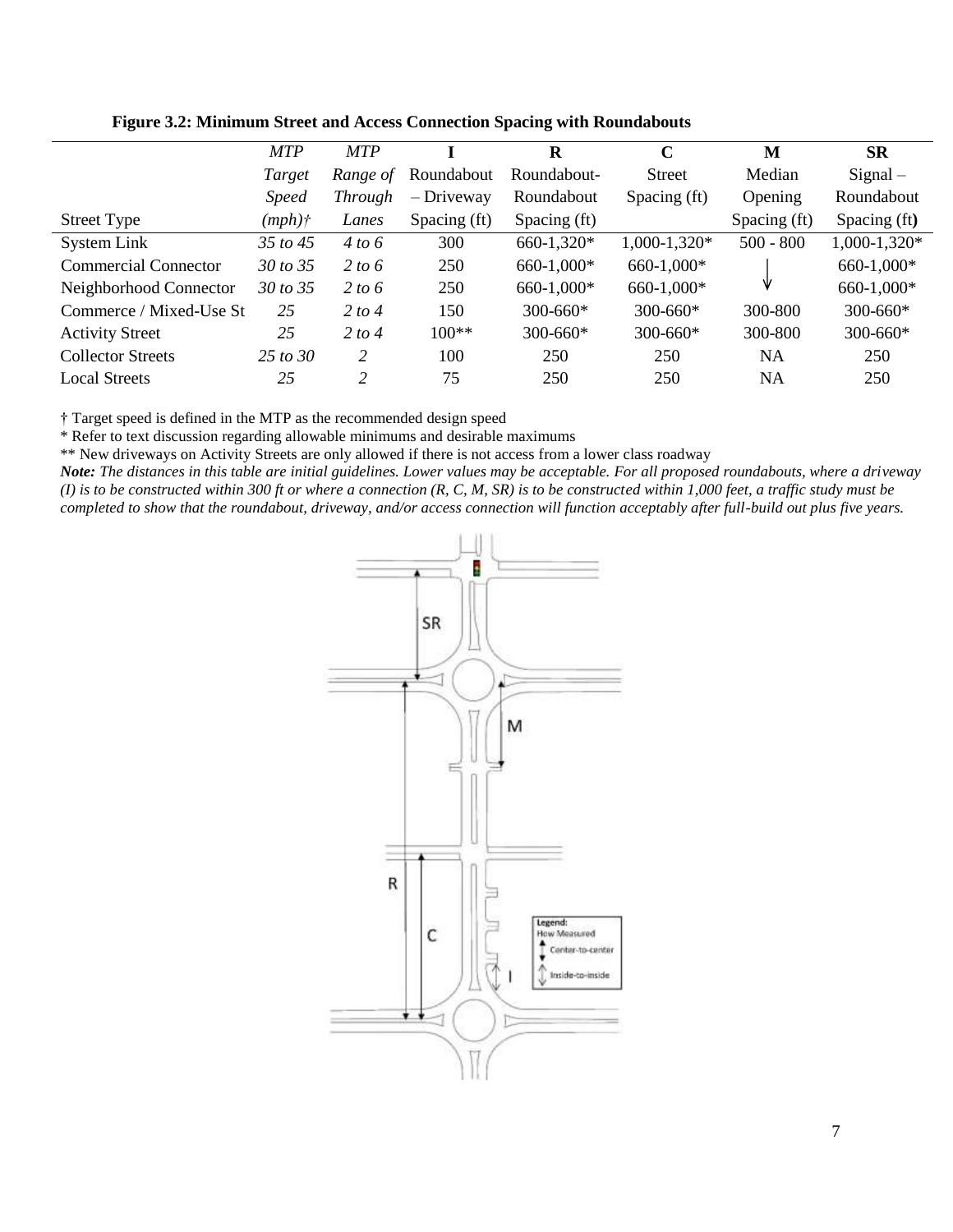|                             | <b>MTP</b>   | <b>MTP</b>     |              | R            | $\mathbf C$    | M            | <b>SR</b>      |
|-----------------------------|--------------|----------------|--------------|--------------|----------------|--------------|----------------|
|                             | Target       | Range of       | Roundabout   | Roundabout-  | <b>Street</b>  | Median       | $Signal -$     |
|                             | <i>Speed</i> | <i>Through</i> | $-$ Driveway | Roundabout   | Spacing (ft)   | Opening      | Roundabout     |
| Street Type                 | $(mph)$ †    | Lanes          | Spacing (ft) | Spacing (ft) |                | Spacing (ft) | Spacing (ft)   |
| System Link                 | 35 to 45     | 4 to 6         | 300          | 660-1,320*   | $1,000-1,320*$ | $500 - 800$  | $1,000-1,320*$ |
| <b>Commercial Connector</b> | 30 to 35     | 2 to 6         | 250          | 660-1,000*   | 660-1,000*     |              | 660-1,000*     |
| Neighborhood Connector      | 30 to 35     | 2 to 6         | 250          | 660-1,000*   | 660-1,000*     | ν            | 660-1,000*     |
| Commerce / Mixed-Use St     | 25           | 2 to 4         | 150          | $300 - 660*$ | $300 - 660*$   | 300-800      | 300-660*       |
| <b>Activity Street</b>      | 25           | 2 to 4         | $100**$      | $300 - 660*$ | $300 - 660*$   | 300-800      | 300-660*       |
| <b>Collector Streets</b>    | 2.5 to $30$  | 2              | 100          | 250          | 250            | NA           | 250            |
| <b>Local Streets</b>        | 25           | 2              | 75           | 250          | 250            | NA           | 250            |



† Target speed is defined in the MTP as the recommended design speed

\* Refer to text discussion regarding allowable minimums and desirable maximums

\*\* New driveways on Activity Streets are only allowed if there is not access from a lower class roadway

*Note: The distances in this table are initial guidelines. Lower values may be acceptable. For all proposed roundabouts, where a driveway (I) is to be constructed within 300 ft or where a connection (R, C, M, SR) is to be constructed within 1,000 feet, a traffic study must be completed to show that the roundabout, driveway, and/or access connection will function acceptably after full-build out plus five years.*

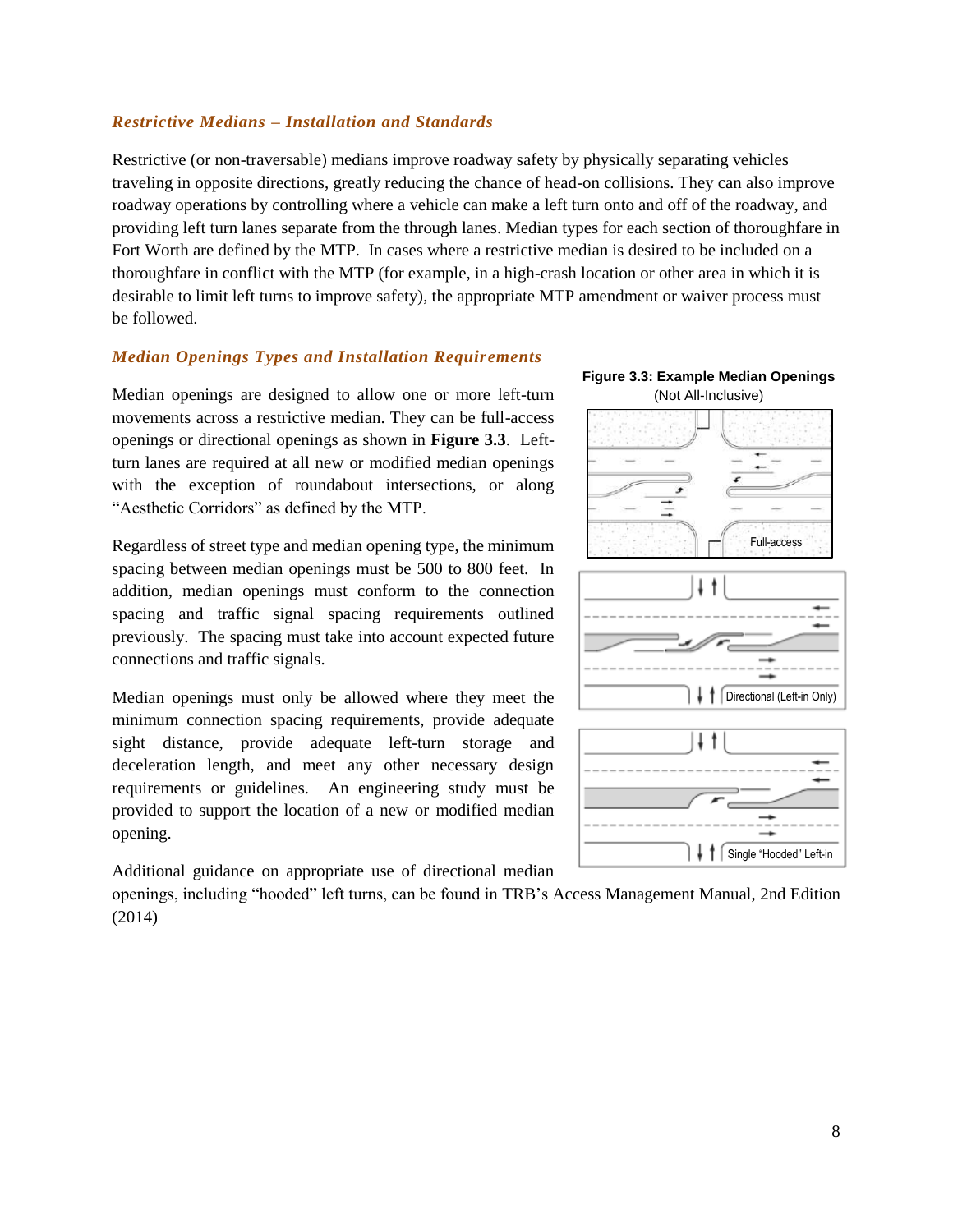#### *Restrictive Medians – Installation and Standards*

Restrictive (or non-traversable) medians improve roadway safety by physically separating vehicles traveling in opposite directions, greatly reducing the chance of head-on collisions. They can also improve roadway operations by controlling where a vehicle can make a left turn onto and off of the roadway, and providing left turn lanes separate from the through lanes. Median types for each section of thoroughfare in Fort Worth are defined by the MTP. In cases where a restrictive median is desired to be included on a thoroughfare in conflict with the MTP (for example, in a high-crash location or other area in which it is desirable to limit left turns to improve safety), the appropriate MTP amendment or waiver process must be followed.

#### *Median Openings Types and Installation Requirements*

Median openings are designed to allow one or more left-turn movements across a restrictive median. They can be full-access openings or directional openings as shown in **Figure 3.3**. Leftturn lanes are required at all new or modified median openings with the exception of roundabout intersections, or along "Aesthetic Corridors" as defined by the MTP.

Regardless of street type and median opening type, the minimum spacing between median openings must be 500 to 800 feet. In addition, median openings must conform to the connection spacing and traffic signal spacing requirements outlined previously. The spacing must take into account expected future connections and traffic signals.

Median openings must only be allowed where they meet the minimum connection spacing requirements, provide adequate sight distance, provide adequate left-turn storage and deceleration length, and meet any other necessary design requirements or guidelines. An engineering study must be provided to support the location of a new or modified median opening.

Additional guidance on appropriate use of directional median

openings, including "hooded" left turns, can be found in TRB's Access Management Manual, 2nd Edition (2014)

**Figure 3.3: Example Median Openings**  (Not All-Inclusive)

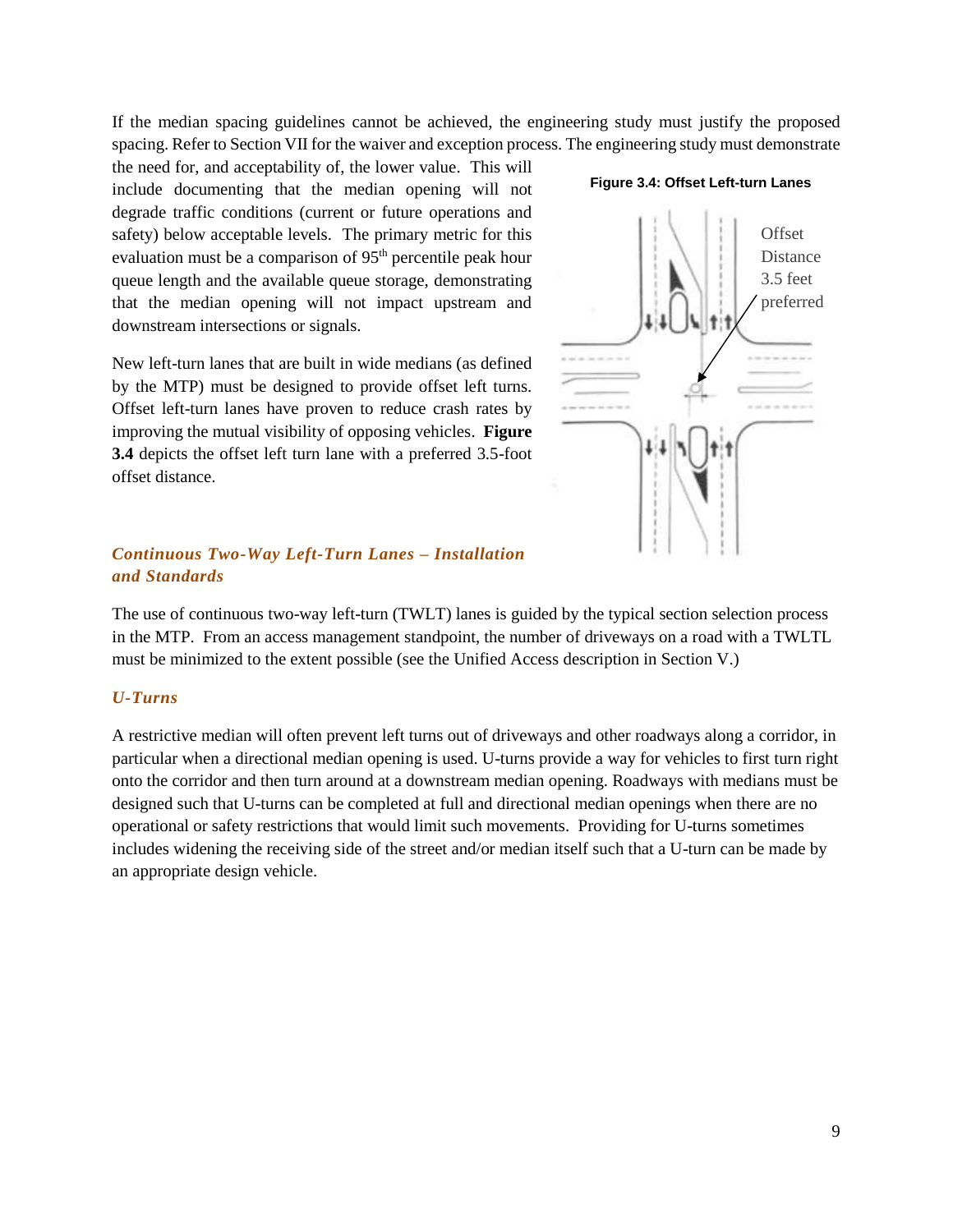If the median spacing guidelines cannot be achieved, the engineering study must justify the proposed spacing. Refer to Section VII for the waiver and exception process. The engineering study must demonstrate

the need for, and acceptability of, the lower value. This will include documenting that the median opening will not degrade traffic conditions (current or future operations and safety) below acceptable levels. The primary metric for this evaluation must be a comparison of  $95<sup>th</sup>$  percentile peak hour queue length and the available queue storage, demonstrating that the median opening will not impact upstream and downstream intersections or signals.

New left-turn lanes that are built in wide medians (as defined by the MTP) must be designed to provide offset left turns. Offset left-turn lanes have proven to reduce crash rates by improving the mutual visibility of opposing vehicles. **Figure 3.4** depicts the offset left turn lane with a preferred 3.5-foot offset distance.

# **Offset** Distance 3.5 feet preferred

**Figure 3.4: Offset Left-turn Lanes**

#### *Continuous Two-Way Left-Turn Lanes – Installation and Standards*

The use of continuous two-way left-turn (TWLT) lanes is guided by the typical section selection process in the MTP. From an access management standpoint, the number of driveways on a road with a TWLTL must be minimized to the extent possible (see the Unified Access description in Section V.)

#### *U-Turns*

A restrictive median will often prevent left turns out of driveways and other roadways along a corridor, in particular when a directional median opening is used. U-turns provide a way for vehicles to first turn right onto the corridor and then turn around at a downstream median opening. Roadways with medians must be designed such that U-turns can be completed at full and directional median openings when there are no operational or safety restrictions that would limit such movements. Providing for U-turns sometimes includes widening the receiving side of the street and/or median itself such that a U-turn can be made by an appropriate design vehicle.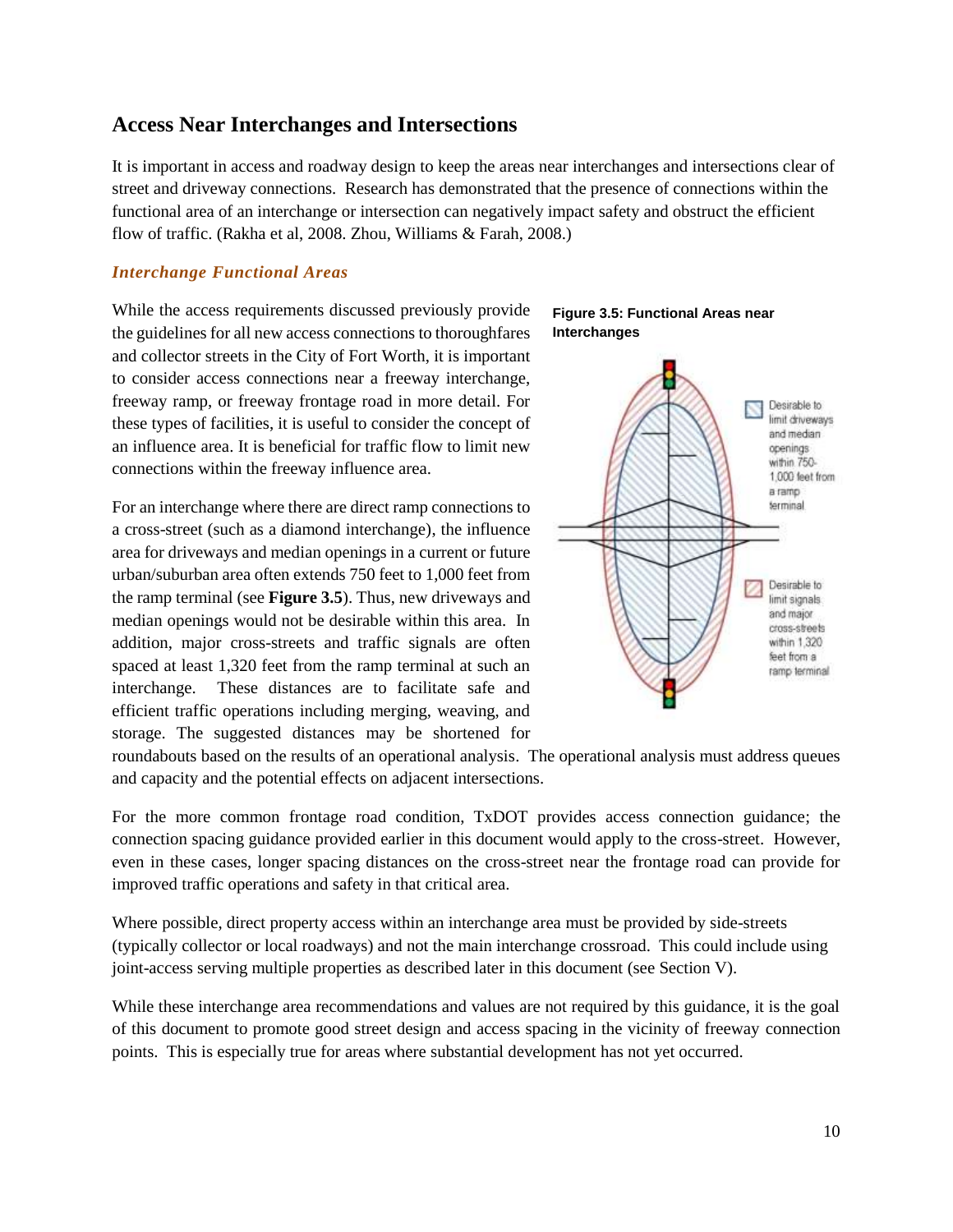#### <span id="page-12-0"></span>**Access Near Interchanges and Intersections**

It is important in access and roadway design to keep the areas near interchanges and intersections clear of street and driveway connections. Research has demonstrated that the presence of connections within the functional area of an interchange or intersection can negatively impact safety and obstruct the efficient flow of traffic. (Rakha et al, 2008. Zhou, Williams & Farah, 2008.)

#### *Interchange Functional Areas*

While the access requirements discussed previously provide the guidelines for all new access connections to thoroughfares and collector streets in the City of Fort Worth, it is important to consider access connections near a freeway interchange, freeway ramp, or freeway frontage road in more detail. For these types of facilities, it is useful to consider the concept of an influence area. It is beneficial for traffic flow to limit new connections within the freeway influence area.

For an interchange where there are direct ramp connections to a cross-street (such as a diamond interchange), the influence area for driveways and median openings in a current or future urban/suburban area often extends 750 feet to 1,000 feet from the ramp terminal (see **Figure 3.5**). Thus, new driveways and median openings would not be desirable within this area. In addition, major cross-streets and traffic signals are often spaced at least 1,320 feet from the ramp terminal at such an interchange. These distances are to facilitate safe and efficient traffic operations including merging, weaving, and storage. The suggested distances may be shortened for





roundabouts based on the results of an operational analysis. The operational analysis must address queues and capacity and the potential effects on adjacent intersections.

For the more common frontage road condition, TxDOT provides access connection guidance; the connection spacing guidance provided earlier in this document would apply to the cross-street. However, even in these cases, longer spacing distances on the cross-street near the frontage road can provide for improved traffic operations and safety in that critical area.

Where possible, direct property access within an interchange area must be provided by side-streets (typically collector or local roadways) and not the main interchange crossroad. This could include using joint-access serving multiple properties as described later in this document (see Section V).

While these interchange area recommendations and values are not required by this guidance, it is the goal of this document to promote good street design and access spacing in the vicinity of freeway connection points. This is especially true for areas where substantial development has not yet occurred.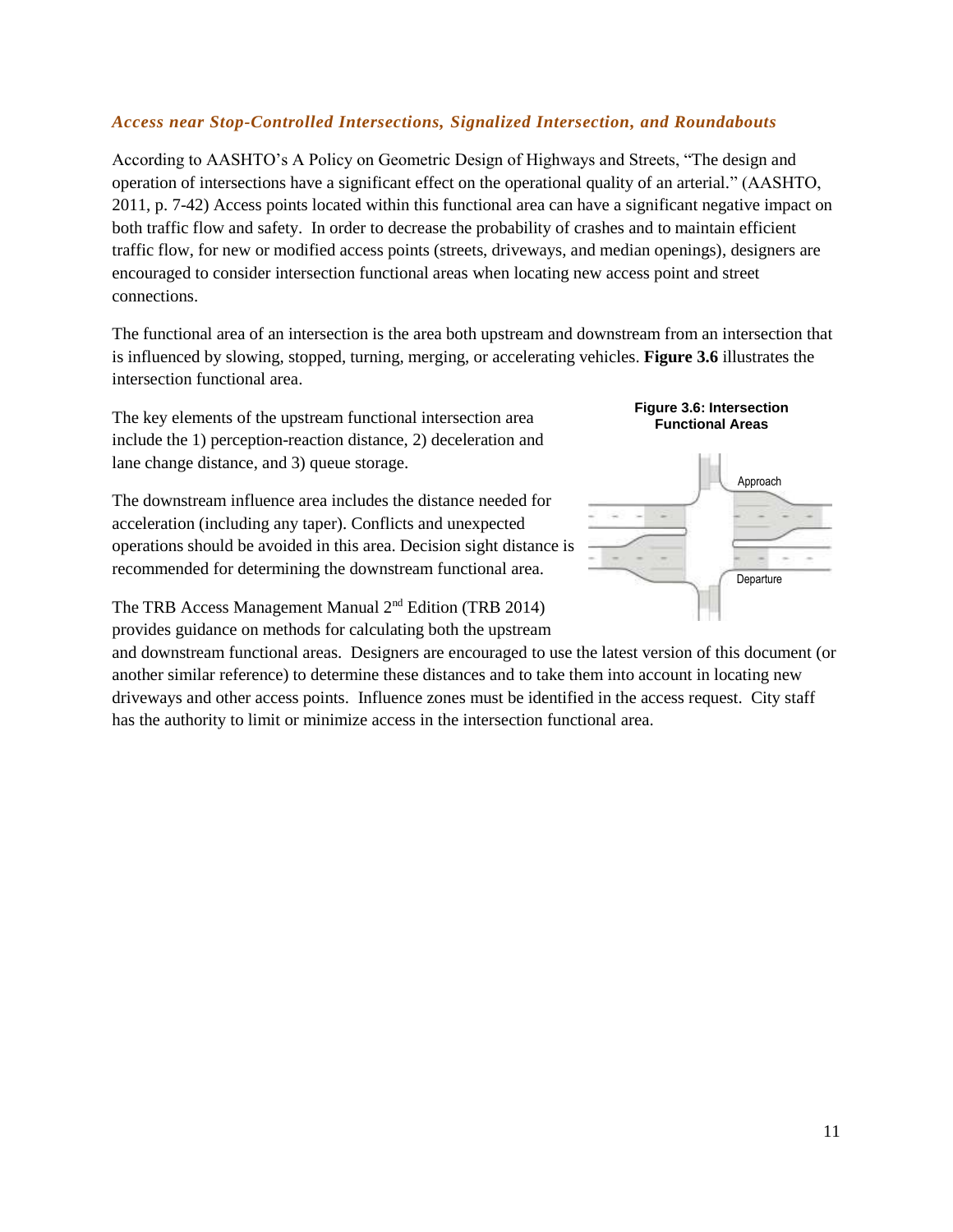#### *Access near Stop-Controlled Intersections, Signalized Intersection, and Roundabouts*

According to AASHTO's A Policy on Geometric Design of Highways and Streets, "The design and operation of intersections have a significant effect on the operational quality of an arterial." (AASHTO, 2011, p. 7-42) Access points located within this functional area can have a significant negative impact on both traffic flow and safety. In order to decrease the probability of crashes and to maintain efficient traffic flow, for new or modified access points (streets, driveways, and median openings), designers are encouraged to consider intersection functional areas when locating new access point and street connections.

The functional area of an intersection is the area both upstream and downstream from an intersection that is influenced by slowing, stopped, turning, merging, or accelerating vehicles. **Figure 3.6** illustrates the intersection functional area.

The key elements of the upstream functional intersection area include the 1) perception-reaction distance, 2) deceleration and lane change distance, and 3) queue storage.

The downstream influence area includes the distance needed for acceleration (including any taper). Conflicts and unexpected operations should be avoided in this area. Decision sight distance is recommended for determining the downstream functional area.

The TRB Access Management Manual 2nd Edition (TRB 2014) provides guidance on methods for calculating both the upstream

and downstream functional areas. Designers are encouraged to use the latest version of this document (or another similar reference) to determine these distances and to take them into account in locating new driveways and other access points. Influence zones must be identified in the access request. City staff has the authority to limit or minimize access in the intersection functional area.

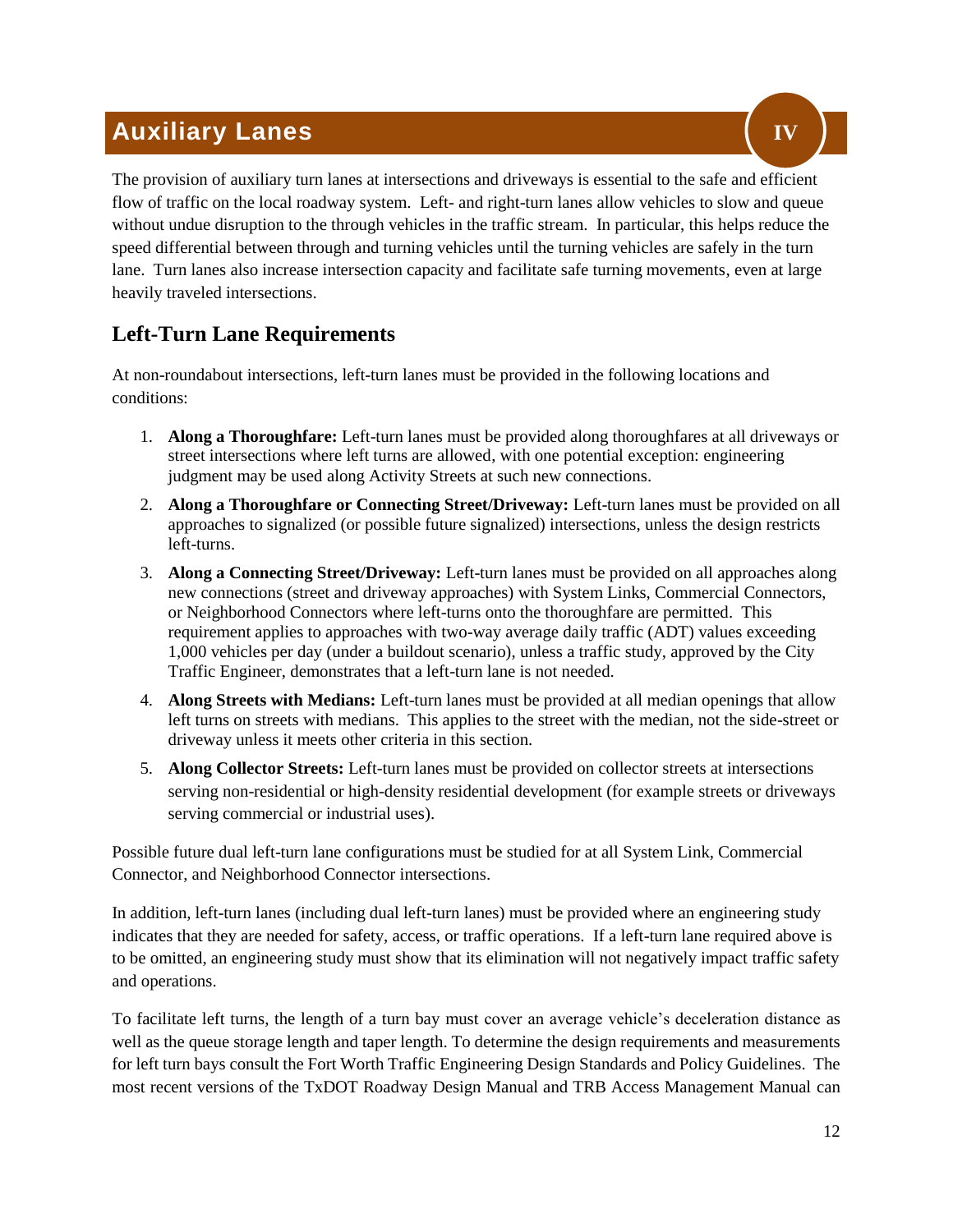## <span id="page-14-0"></span>**Auxiliary Lanes**

The provision of auxiliary turn lanes at intersections and driveways is essential to the safe and efficient flow of traffic on the local roadway system. Left- and right-turn lanes allow vehicles to slow and queue without undue disruption to the through vehicles in the traffic stream. In particular, this helps reduce the speed differential between through and turning vehicles until the turning vehicles are safely in the turn lane. Turn lanes also increase intersection capacity and facilitate safe turning movements, even at large heavily traveled intersections.

## <span id="page-14-1"></span>**Left-Turn Lane Requirements**

At non-roundabout intersections, left-turn lanes must be provided in the following locations and conditions:

- 1. **Along a Thoroughfare:** Left-turn lanes must be provided along thoroughfares at all driveways or street intersections where left turns are allowed, with one potential exception: engineering judgment may be used along Activity Streets at such new connections.
- 2. **Along a Thoroughfare or Connecting Street/Driveway:** Left-turn lanes must be provided on all approaches to signalized (or possible future signalized) intersections, unless the design restricts left-turns.
- 3. **Along a Connecting Street/Driveway:** Left-turn lanes must be provided on all approaches along new connections (street and driveway approaches) with System Links, Commercial Connectors, or Neighborhood Connectors where left-turns onto the thoroughfare are permitted. This requirement applies to approaches with two-way average daily traffic (ADT) values exceeding 1,000 vehicles per day (under a buildout scenario), unless a traffic study, approved by the City Traffic Engineer, demonstrates that a left-turn lane is not needed.
- 4. **Along Streets with Medians:** Left-turn lanes must be provided at all median openings that allow left turns on streets with medians. This applies to the street with the median, not the side-street or driveway unless it meets other criteria in this section.
- 5. **Along Collector Streets:** Left-turn lanes must be provided on collector streets at intersections serving non-residential or high-density residential development (for example streets or driveways serving commercial or industrial uses).

Possible future dual left-turn lane configurations must be studied for at all System Link, Commercial Connector, and Neighborhood Connector intersections.

In addition, left-turn lanes (including dual left-turn lanes) must be provided where an engineering study indicates that they are needed for safety, access, or traffic operations. If a left-turn lane required above is to be omitted, an engineering study must show that its elimination will not negatively impact traffic safety and operations.

To facilitate left turns, the length of a turn bay must cover an average vehicle's deceleration distance as well as the queue storage length and taper length. To determine the design requirements and measurements for left turn bays consult the Fort Worth Traffic Engineering Design Standards and Policy Guidelines. The most recent versions of the TxDOT Roadway Design Manual and TRB Access Management Manual can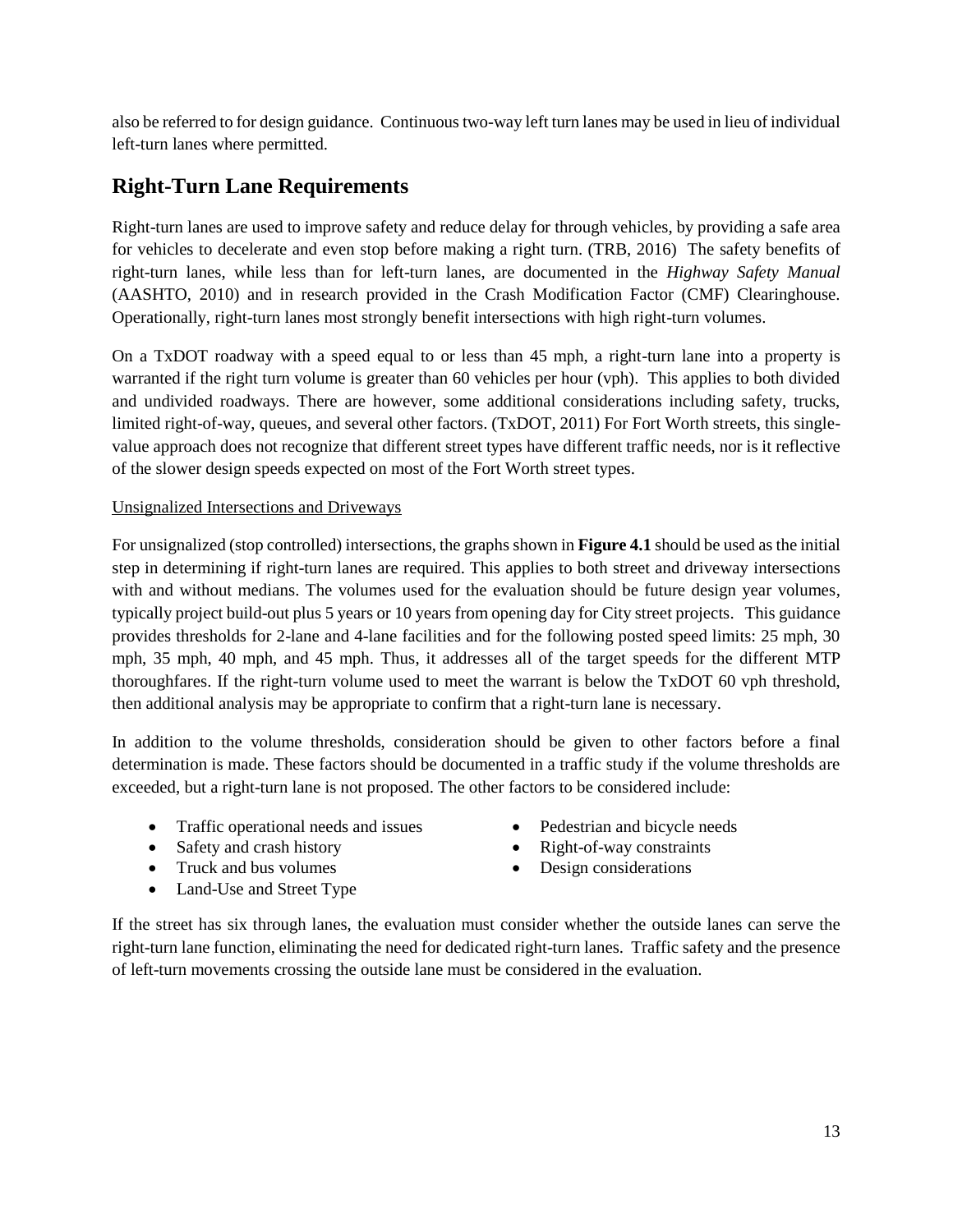also be referred to for design guidance. Continuous two-way left turn lanes may be used in lieu of individual left-turn lanes where permitted.

## <span id="page-15-0"></span>**Right-Turn Lane Requirements**

Right-turn lanes are used to improve safety and reduce delay for through vehicles, by providing a safe area for vehicles to decelerate and even stop before making a right turn. (TRB, 2016) The safety benefits of right-turn lanes, while less than for left-turn lanes, are documented in the *Highway Safety Manual*  (AASHTO, 2010) and in research provided in the Crash Modification Factor (CMF) Clearinghouse. Operationally, right-turn lanes most strongly benefit intersections with high right-turn volumes.

On a TxDOT roadway with a speed equal to or less than 45 mph, a right-turn lane into a property is warranted if the right turn volume is greater than 60 vehicles per hour (vph). This applies to both divided and undivided roadways. There are however, some additional considerations including safety, trucks, limited right-of-way, queues, and several other factors. (TxDOT, 2011) For Fort Worth streets, this singlevalue approach does not recognize that different street types have different traffic needs, nor is it reflective of the slower design speeds expected on most of the Fort Worth street types.

#### Unsignalized Intersections and Driveways

For unsignalized (stop controlled) intersections, the graphs shown in **Figure 4.1** should be used as the initial step in determining if right-turn lanes are required. This applies to both street and driveway intersections with and without medians. The volumes used for the evaluation should be future design year volumes, typically project build-out plus 5 years or 10 years from opening day for City street projects. This guidance provides thresholds for 2-lane and 4-lane facilities and for the following posted speed limits: 25 mph, 30 mph, 35 mph, 40 mph, and 45 mph. Thus, it addresses all of the target speeds for the different MTP thoroughfares. If the right-turn volume used to meet the warrant is below the TxDOT 60 vph threshold, then additional analysis may be appropriate to confirm that a right-turn lane is necessary.

In addition to the volume thresholds, consideration should be given to other factors before a final determination is made. These factors should be documented in a traffic study if the volume thresholds are exceeded, but a right-turn lane is not proposed. The other factors to be considered include:

- Traffic operational needs and issues
- Safety and crash history
- Truck and bus volumes
- Land-Use and Street Type
- Pedestrian and bicycle needs
- Right-of-way constraints
- Design considerations

If the street has six through lanes, the evaluation must consider whether the outside lanes can serve the right-turn lane function, eliminating the need for dedicated right-turn lanes. Traffic safety and the presence of left-turn movements crossing the outside lane must be considered in the evaluation.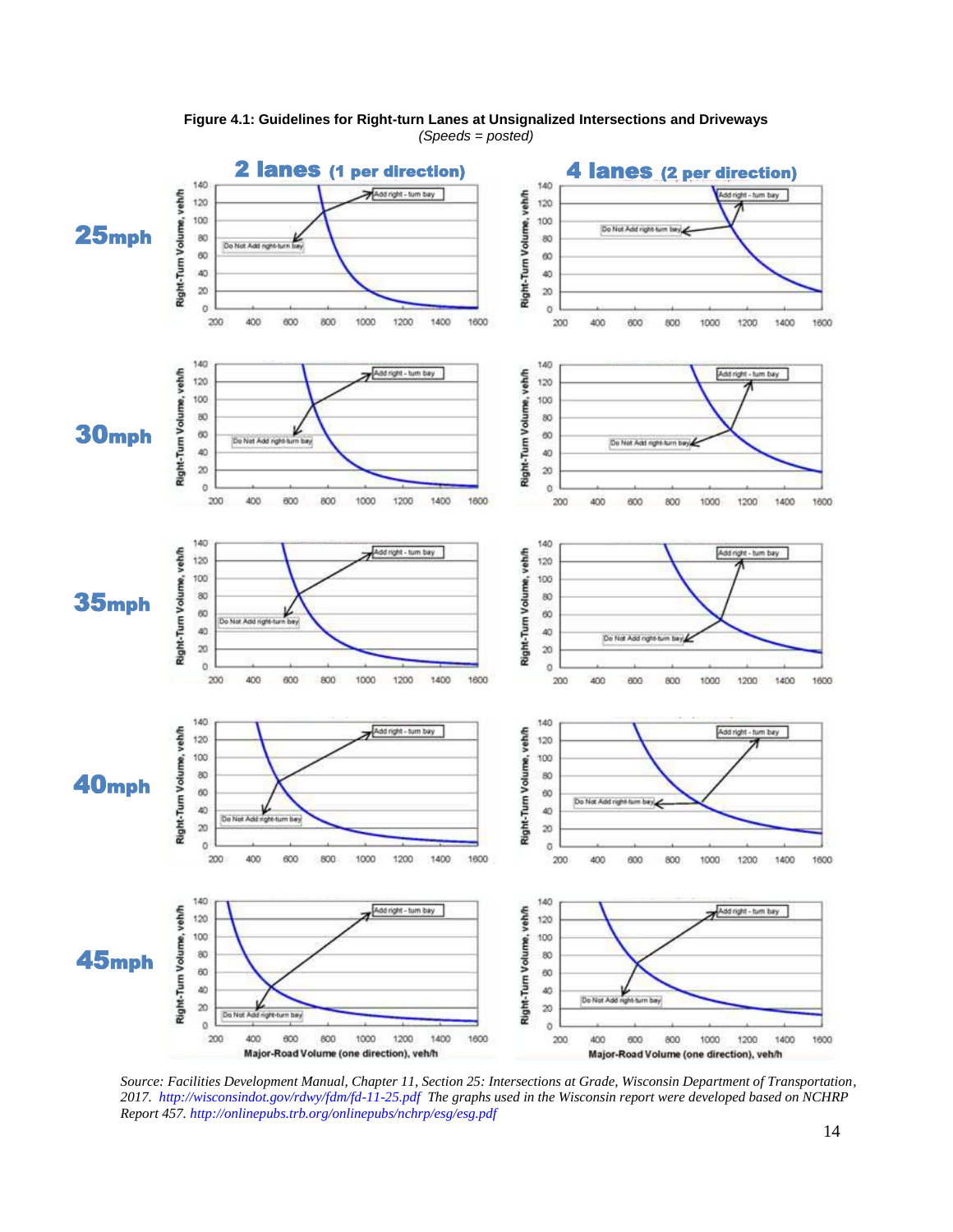

**Figure 4.1: Guidelines for Right-turn Lanes at Unsignalized Intersections and Driveways** *(Speeds = posted)*

*Source: Facilities Development Manual, Chapter 11, Section 25: Intersections at Grade, Wisconsin Department of Transportation, 2017.<http://wisconsindot.gov/rdwy/fdm/fd-11-25.pdf>The graphs used in the Wisconsin report were developed based on NCHRP Report 457.<http://onlinepubs.trb.org/onlinepubs/nchrp/esg/esg.pdf>*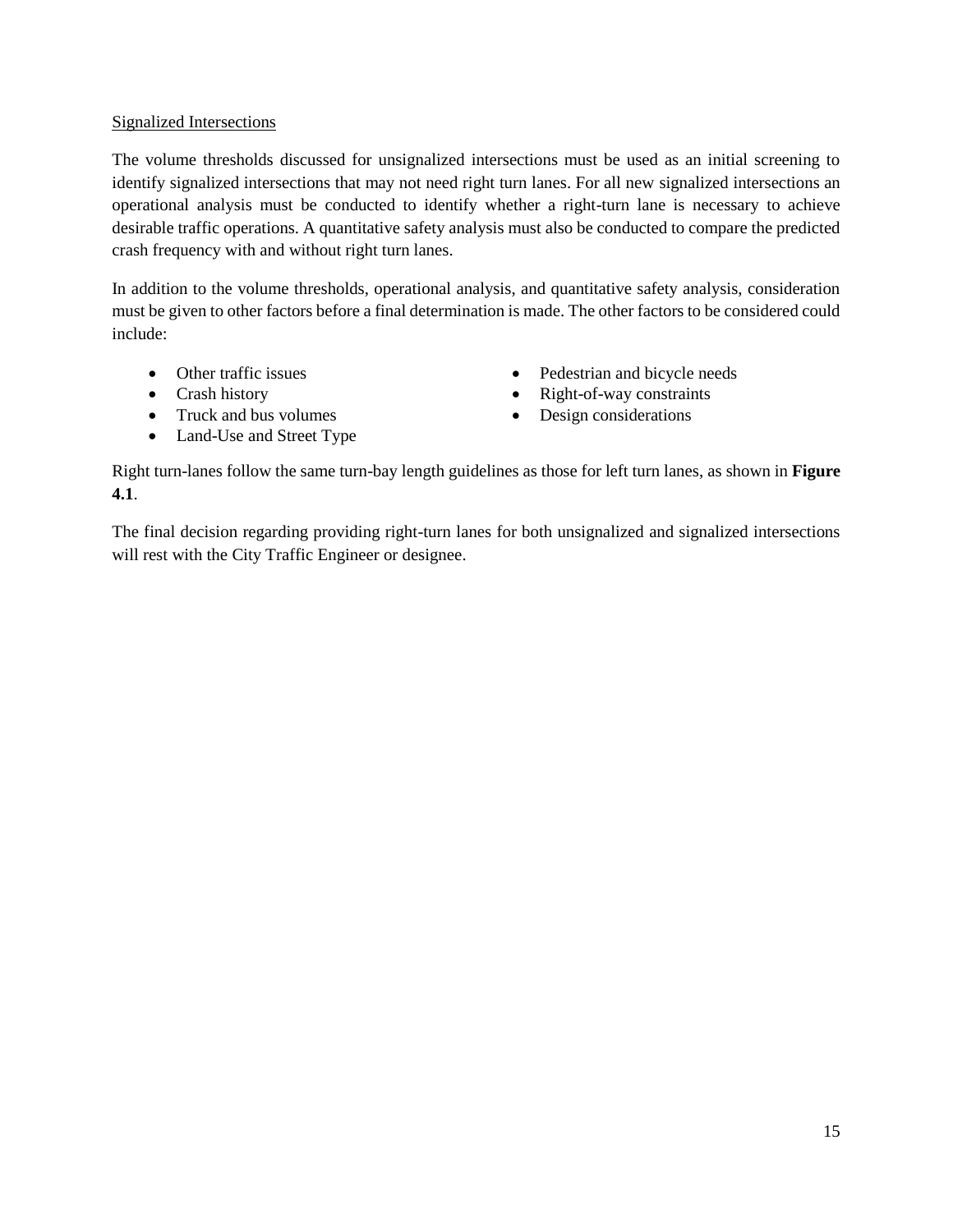#### Signalized Intersections

The volume thresholds discussed for unsignalized intersections must be used as an initial screening to identify signalized intersections that may not need right turn lanes. For all new signalized intersections an operational analysis must be conducted to identify whether a right-turn lane is necessary to achieve desirable traffic operations. A quantitative safety analysis must also be conducted to compare the predicted crash frequency with and without right turn lanes.

In addition to the volume thresholds, operational analysis, and quantitative safety analysis, consideration must be given to other factors before a final determination is made. The other factors to be considered could include:

- Other traffic issues
- Crash history
- Truck and bus volumes
- Land-Use and Street Type
- Pedestrian and bicycle needs
- Right-of-way constraints
- Design considerations

Right turn-lanes follow the same turn-bay length guidelines as those for left turn lanes, as shown in **Figure 4.1**.

The final decision regarding providing right-turn lanes for both unsignalized and signalized intersections will rest with the City Traffic Engineer or designee.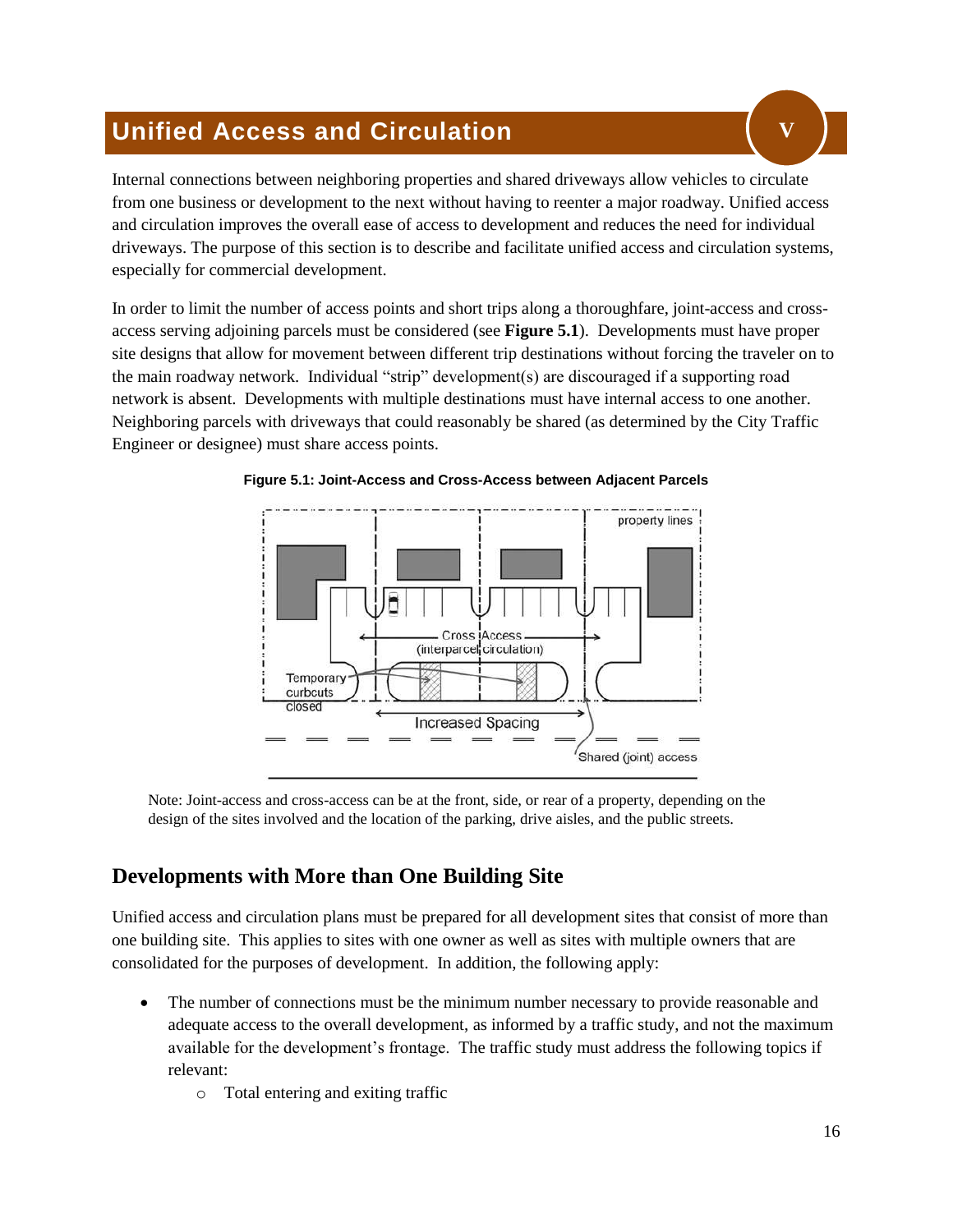## <span id="page-18-0"></span>**Unified Access and Circulation**

Internal connections between neighboring properties and shared driveways allow vehicles to circulate from one business or development to the next without having to reenter a major roadway. Unified access and circulation improves the overall ease of access to development and reduces the need for individual driveways. The purpose of this section is to describe and facilitate unified access and circulation systems, especially for commercial development.

In order to limit the number of access points and short trips along a thoroughfare, joint-access and crossaccess serving adjoining parcels must be considered (see **Figure 5.1**). Developments must have proper site designs that allow for movement between different trip destinations without forcing the traveler on to the main roadway network. Individual "strip" development(s) are discouraged if a supporting road network is absent. Developments with multiple destinations must have internal access to one another. Neighboring parcels with driveways that could reasonably be shared (as determined by the City Traffic Engineer or designee) must share access points.





Note: Joint-access and cross-access can be at the front, side, or rear of a property, depending on the design of the sites involved and the location of the parking, drive aisles, and the public streets.

## <span id="page-18-1"></span>**Developments with More than One Building Site**

Unified access and circulation plans must be prepared for all development sites that consist of more than one building site. This applies to sites with one owner as well as sites with multiple owners that are consolidated for the purposes of development. In addition, the following apply:

- The number of connections must be the minimum number necessary to provide reasonable and adequate access to the overall development, as informed by a traffic study, and not the maximum available for the development's frontage. The traffic study must address the following topics if relevant:
	- o Total entering and exiting traffic

**V**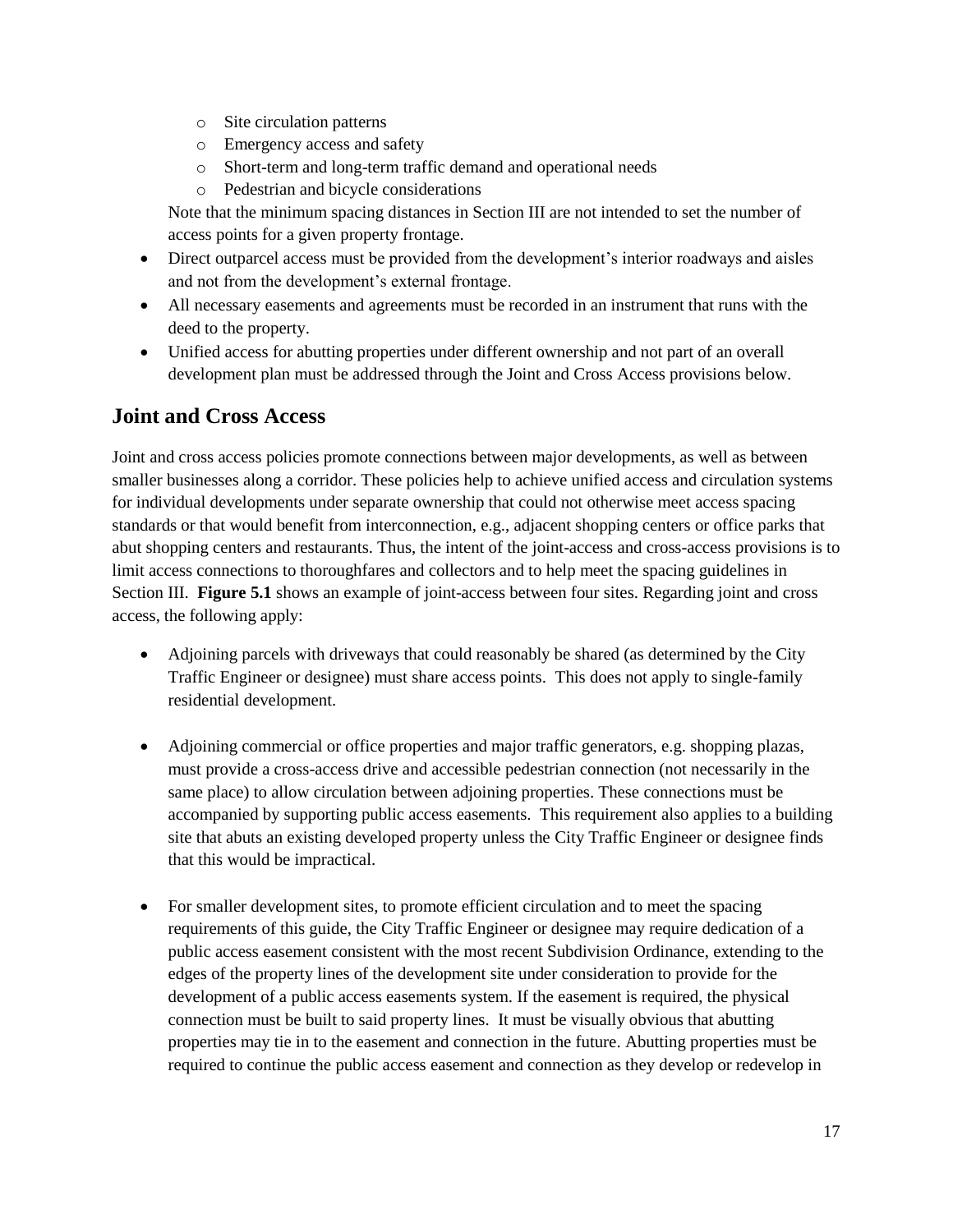- o Site circulation patterns
- o Emergency access and safety
- o Short-term and long-term traffic demand and operational needs
- o Pedestrian and bicycle considerations

Note that the minimum spacing distances in Section III are not intended to set the number of access points for a given property frontage.

- Direct outparcel access must be provided from the development's interior roadways and aisles and not from the development's external frontage.
- All necessary easements and agreements must be recorded in an instrument that runs with the deed to the property.
- Unified access for abutting properties under different ownership and not part of an overall development plan must be addressed through the Joint and Cross Access provisions below.

## <span id="page-19-0"></span>**Joint and Cross Access**

Joint and cross access policies promote connections between major developments, as well as between smaller businesses along a corridor. These policies help to achieve unified access and circulation systems for individual developments under separate ownership that could not otherwise meet access spacing standards or that would benefit from interconnection, e.g., adjacent shopping centers or office parks that abut shopping centers and restaurants. Thus, the intent of the joint-access and cross-access provisions is to limit access connections to thoroughfares and collectors and to help meet the spacing guidelines in Section III. **Figure 5.1** shows an example of joint-access between four sites. Regarding joint and cross access, the following apply:

- Adjoining parcels with driveways that could reasonably be shared (as determined by the City Traffic Engineer or designee) must share access points. This does not apply to single-family residential development.
- Adjoining commercial or office properties and major traffic generators, e.g. shopping plazas, must provide a cross-access drive and accessible pedestrian connection (not necessarily in the same place) to allow circulation between adjoining properties. These connections must be accompanied by supporting public access easements. This requirement also applies to a building site that abuts an existing developed property unless the City Traffic Engineer or designee finds that this would be impractical.
- For smaller development sites, to promote efficient circulation and to meet the spacing requirements of this guide, the City Traffic Engineer or designee may require dedication of a public access easement consistent with the most recent Subdivision Ordinance, extending to the edges of the property lines of the development site under consideration to provide for the development of a public access easements system. If the easement is required, the physical connection must be built to said property lines. It must be visually obvious that abutting properties may tie in to the easement and connection in the future. Abutting properties must be required to continue the public access easement and connection as they develop or redevelop in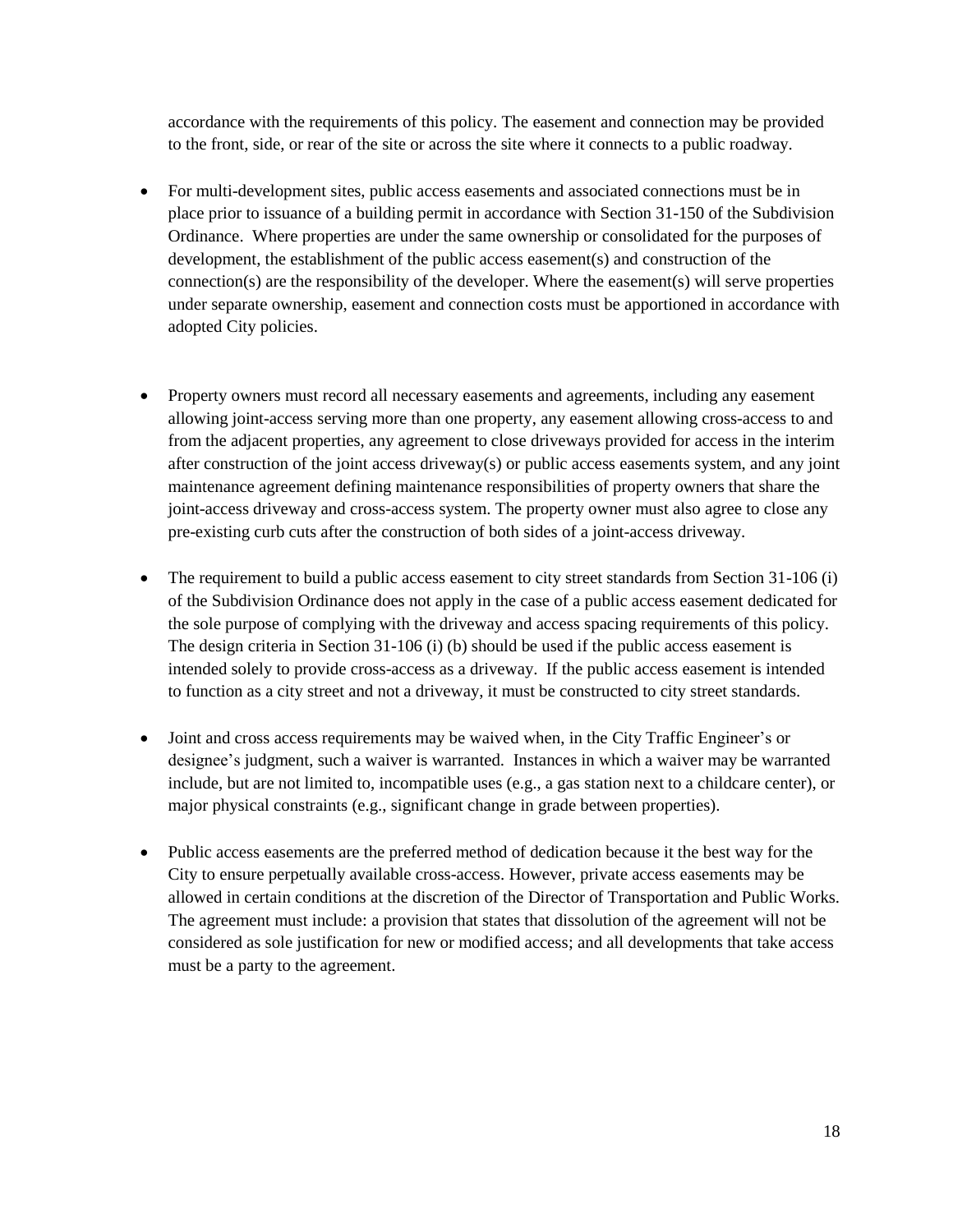accordance with the requirements of this policy. The easement and connection may be provided to the front, side, or rear of the site or across the site where it connects to a public roadway.

- For multi-development sites, public access easements and associated connections must be in place prior to issuance of a building permit in accordance with Section 31-150 of the Subdivision Ordinance. Where properties are under the same ownership or consolidated for the purposes of development, the establishment of the public access easement(s) and construction of the connection(s) are the responsibility of the developer. Where the easement(s) will serve properties under separate ownership, easement and connection costs must be apportioned in accordance with adopted City policies.
- Property owners must record all necessary easements and agreements, including any easement allowing joint-access serving more than one property, any easement allowing cross-access to and from the adjacent properties, any agreement to close driveways provided for access in the interim after construction of the joint access driveway(s) or public access easements system, and any joint maintenance agreement defining maintenance responsibilities of property owners that share the joint-access driveway and cross-access system. The property owner must also agree to close any pre-existing curb cuts after the construction of both sides of a joint-access driveway.
- The requirement to build a public access easement to city street standards from Section 31-106 (i) of the Subdivision Ordinance does not apply in the case of a public access easement dedicated for the sole purpose of complying with the driveway and access spacing requirements of this policy. The design criteria in Section 31-106 (i) (b) should be used if the public access easement is intended solely to provide cross-access as a driveway. If the public access easement is intended to function as a city street and not a driveway, it must be constructed to city street standards.
- Joint and cross access requirements may be waived when, in the City Traffic Engineer's or designee's judgment, such a waiver is warranted. Instances in which a waiver may be warranted include, but are not limited to, incompatible uses (e.g., a gas station next to a childcare center), or major physical constraints (e.g., significant change in grade between properties).
- Public access easements are the preferred method of dedication because it the best way for the City to ensure perpetually available cross-access. However, private access easements may be allowed in certain conditions at the discretion of the Director of Transportation and Public Works. The agreement must include: a provision that states that dissolution of the agreement will not be considered as sole justification for new or modified access; and all developments that take access must be a party to the agreement.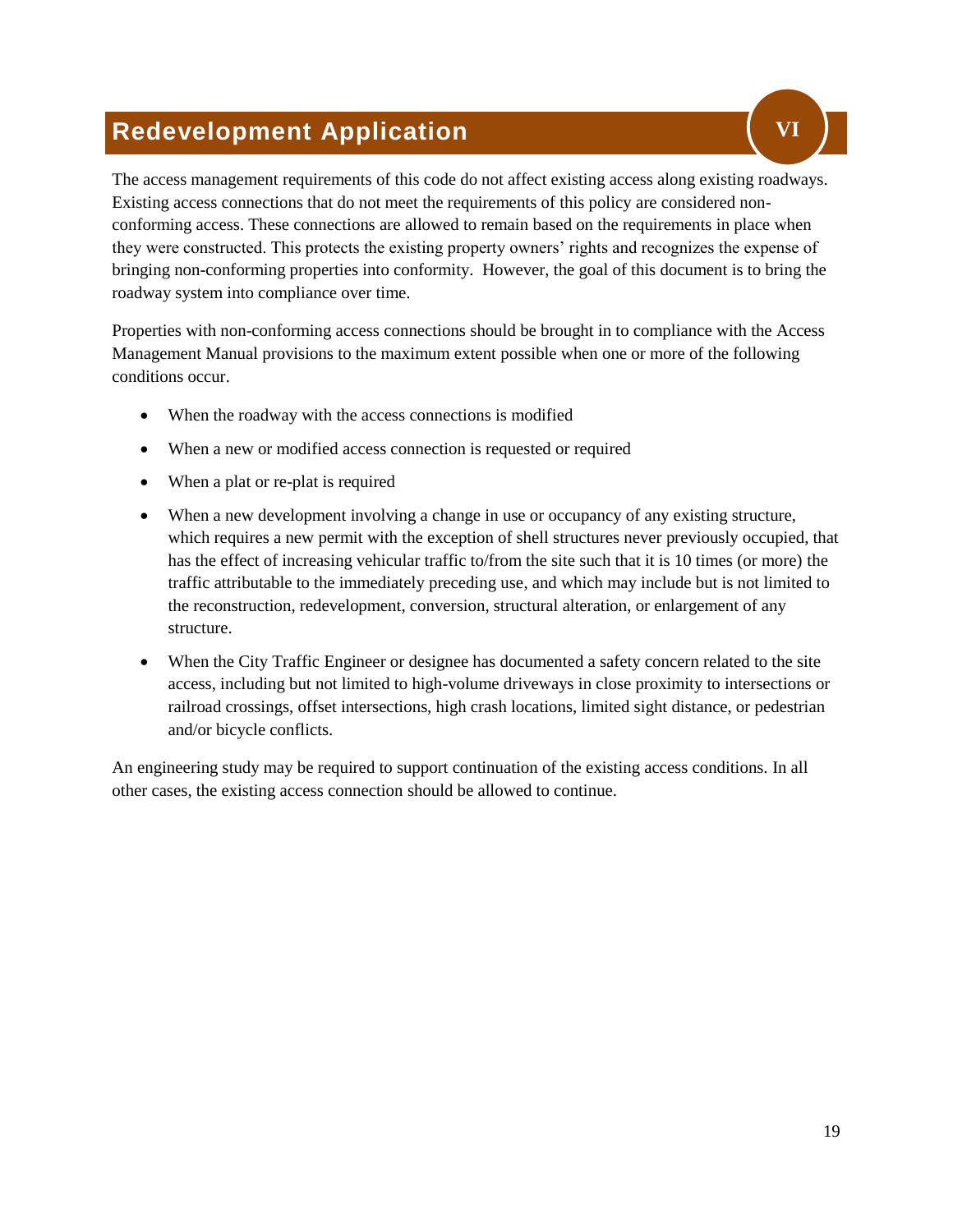## <span id="page-21-0"></span>**Redevelopment Application**

The access management requirements of this code do not affect existing access along existing roadways. Existing access connections that do not meet the requirements of this policy are considered nonconforming access. These connections are allowed to remain based on the requirements in place when they were constructed. This protects the existing property owners' rights and recognizes the expense of bringing non-conforming properties into conformity. However, the goal of this document is to bring the roadway system into compliance over time.

Properties with non-conforming access connections should be brought in to compliance with the Access Management Manual provisions to the maximum extent possible when one or more of the following conditions occur.

- When the roadway with the access connections is modified
- When a new or modified access connection is requested or required
- When a plat or re-plat is required
- When a new development involving a change in use or occupancy of any existing structure, which requires a new permit with the exception of shell structures never previously occupied, that has the effect of increasing vehicular traffic to/from the site such that it is 10 times (or more) the traffic attributable to the immediately preceding use, and which may include but is not limited to the reconstruction, redevelopment, conversion, structural alteration, or enlargement of any structure.
- When the City Traffic Engineer or designee has documented a safety concern related to the site access, including but not limited to high-volume driveways in close proximity to intersections or railroad crossings, offset intersections, high crash locations, limited sight distance, or pedestrian and/or bicycle conflicts.

An engineering study may be required to support continuation of the existing access conditions. In all other cases, the existing access connection should be allowed to continue.

**VI**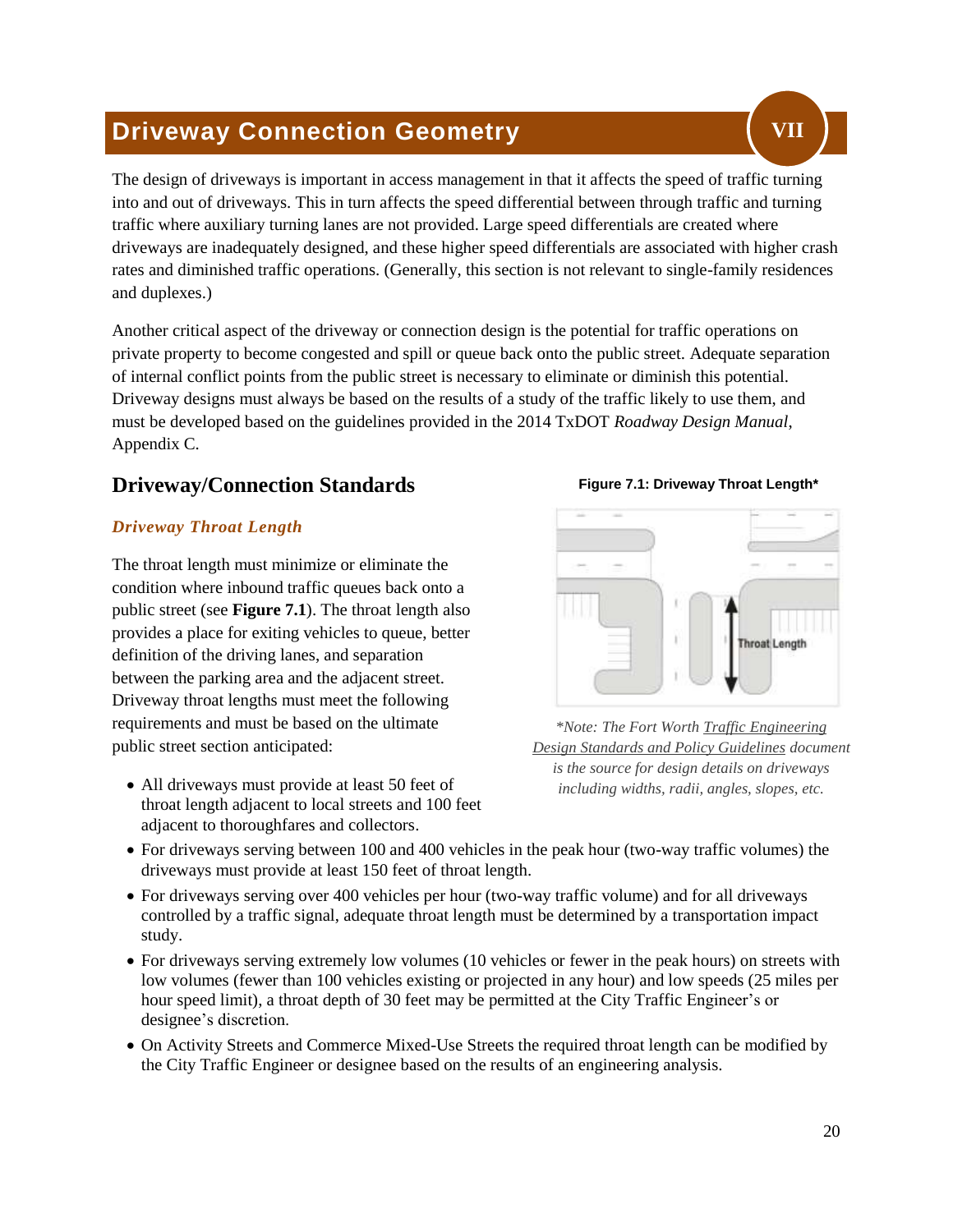## <span id="page-22-0"></span>**Driveway Connection Geometry**

The design of driveways is important in access management in that it affects the speed of traffic turning into and out of driveways. This in turn affects the speed differential between through traffic and turning traffic where auxiliary turning lanes are not provided. Large speed differentials are created where driveways are inadequately designed, and these higher speed differentials are associated with higher crash rates and diminished traffic operations. (Generally, this section is not relevant to single-family residences and duplexes.)

Another critical aspect of the driveway or connection design is the potential for traffic operations on private property to become congested and spill or queue back onto the public street. Adequate separation of internal conflict points from the public street is necessary to eliminate or diminish this potential. Driveway designs must always be based on the results of a study of the traffic likely to use them, and must be developed based on the guidelines provided in the 2014 TxDOT *Roadway Design Manual*, Appendix C.

## <span id="page-22-1"></span>**Driveway/Connection Standards**

#### *Driveway Throat Length*

The throat length must minimize or eliminate the condition where inbound traffic queues back onto a public street (see **Figure 7.1**). The throat length also provides a place for exiting vehicles to queue, better definition of the driving lanes, and separation between the parking area and the adjacent street. Driveway throat lengths must meet the following requirements and must be based on the ultimate public street section anticipated:

• All driveways must provide at least 50 feet of throat length adjacent to local streets and 100 feet adjacent to thoroughfares and collectors.



**VII**



*\*Note: The Fort Worth Traffic Engineering Design Standards and Policy Guidelines document is the source for design details on driveways including widths, radii, angles, slopes, etc.*

- For driveways serving between 100 and 400 vehicles in the peak hour (two-way traffic volumes) the driveways must provide at least 150 feet of throat length.
- For driveways serving over 400 vehicles per hour (two-way traffic volume) and for all driveways controlled by a traffic signal, adequate throat length must be determined by a transportation impact study.
- For driveways serving extremely low volumes (10 vehicles or fewer in the peak hours) on streets with low volumes (fewer than 100 vehicles existing or projected in any hour) and low speeds (25 miles per hour speed limit), a throat depth of 30 feet may be permitted at the City Traffic Engineer's or designee's discretion.
- On Activity Streets and Commerce Mixed-Use Streets the required throat length can be modified by the City Traffic Engineer or designee based on the results of an engineering analysis.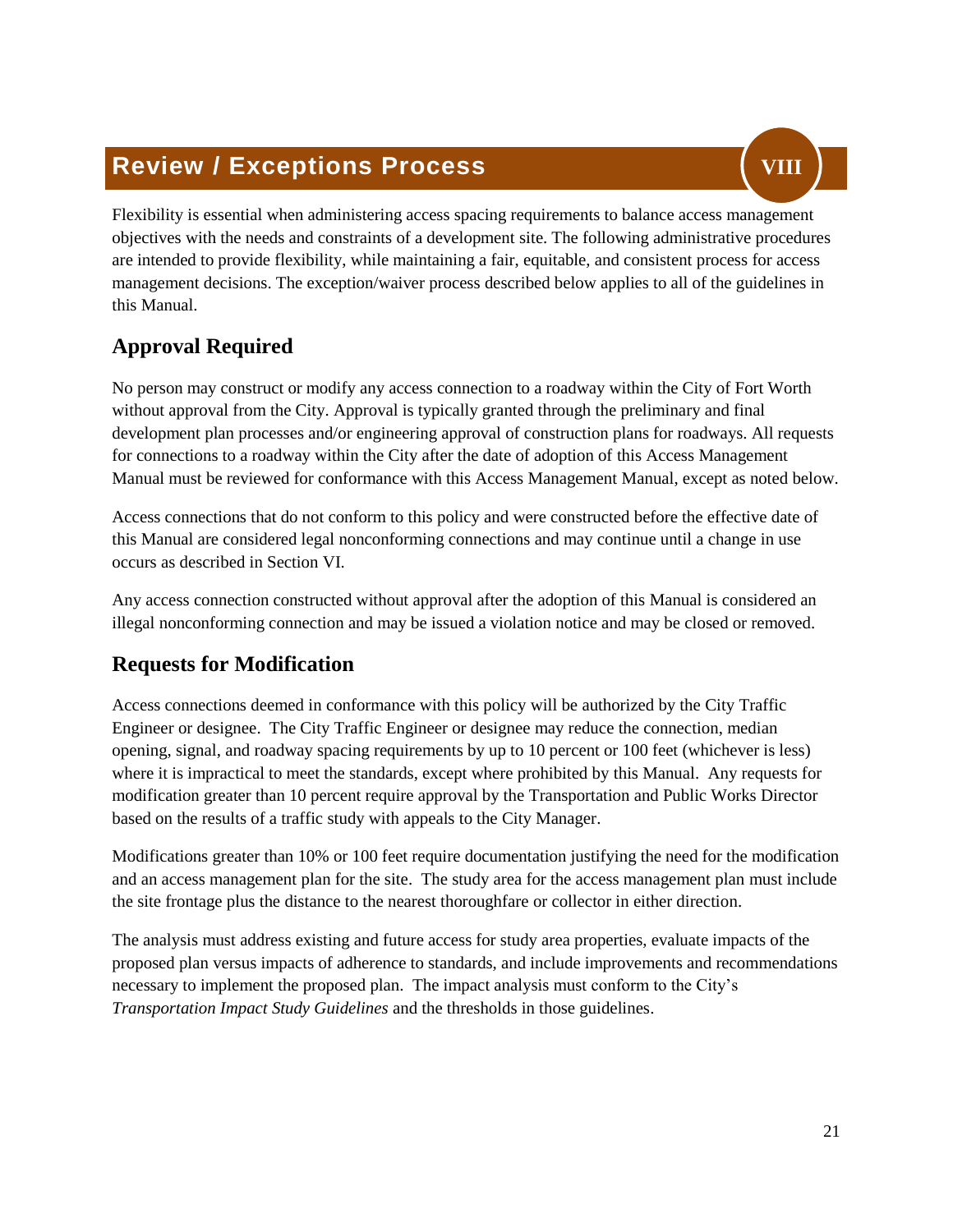## <span id="page-23-0"></span>**Review / Exceptions Process**



Flexibility is essential when administering access spacing requirements to balance access management objectives with the needs and constraints of a development site. The following administrative procedures are intended to provide flexibility, while maintaining a fair, equitable, and consistent process for access management decisions. The exception/waiver process described below applies to all of the guidelines in this Manual.

## <span id="page-23-1"></span>**Approval Required**

No person may construct or modify any access connection to a roadway within the City of Fort Worth without approval from the City. Approval is typically granted through the preliminary and final development plan processes and/or engineering approval of construction plans for roadways. All requests for connections to a roadway within the City after the date of adoption of this Access Management Manual must be reviewed for conformance with this Access Management Manual, except as noted below.

Access connections that do not conform to this policy and were constructed before the effective date of this Manual are considered legal nonconforming connections and may continue until a change in use occurs as described in Section VI.

Any access connection constructed without approval after the adoption of this Manual is considered an illegal nonconforming connection and may be issued a violation notice and may be closed or removed.

## <span id="page-23-2"></span>**Requests for Modification**

Access connections deemed in conformance with this policy will be authorized by the City Traffic Engineer or designee. The City Traffic Engineer or designee may reduce the connection, median opening, signal, and roadway spacing requirements by up to 10 percent or 100 feet (whichever is less) where it is impractical to meet the standards, except where prohibited by this Manual. Any requests for modification greater than 10 percent require approval by the Transportation and Public Works Director based on the results of a traffic study with appeals to the City Manager.

Modifications greater than 10% or 100 feet require documentation justifying the need for the modification and an access management plan for the site. The study area for the access management plan must include the site frontage plus the distance to the nearest thoroughfare or collector in either direction.

The analysis must address existing and future access for study area properties, evaluate impacts of the proposed plan versus impacts of adherence to standards, and include improvements and recommendations necessary to implement the proposed plan. The impact analysis must conform to the City's *Transportation Impact Study Guidelines* and the thresholds in those guidelines.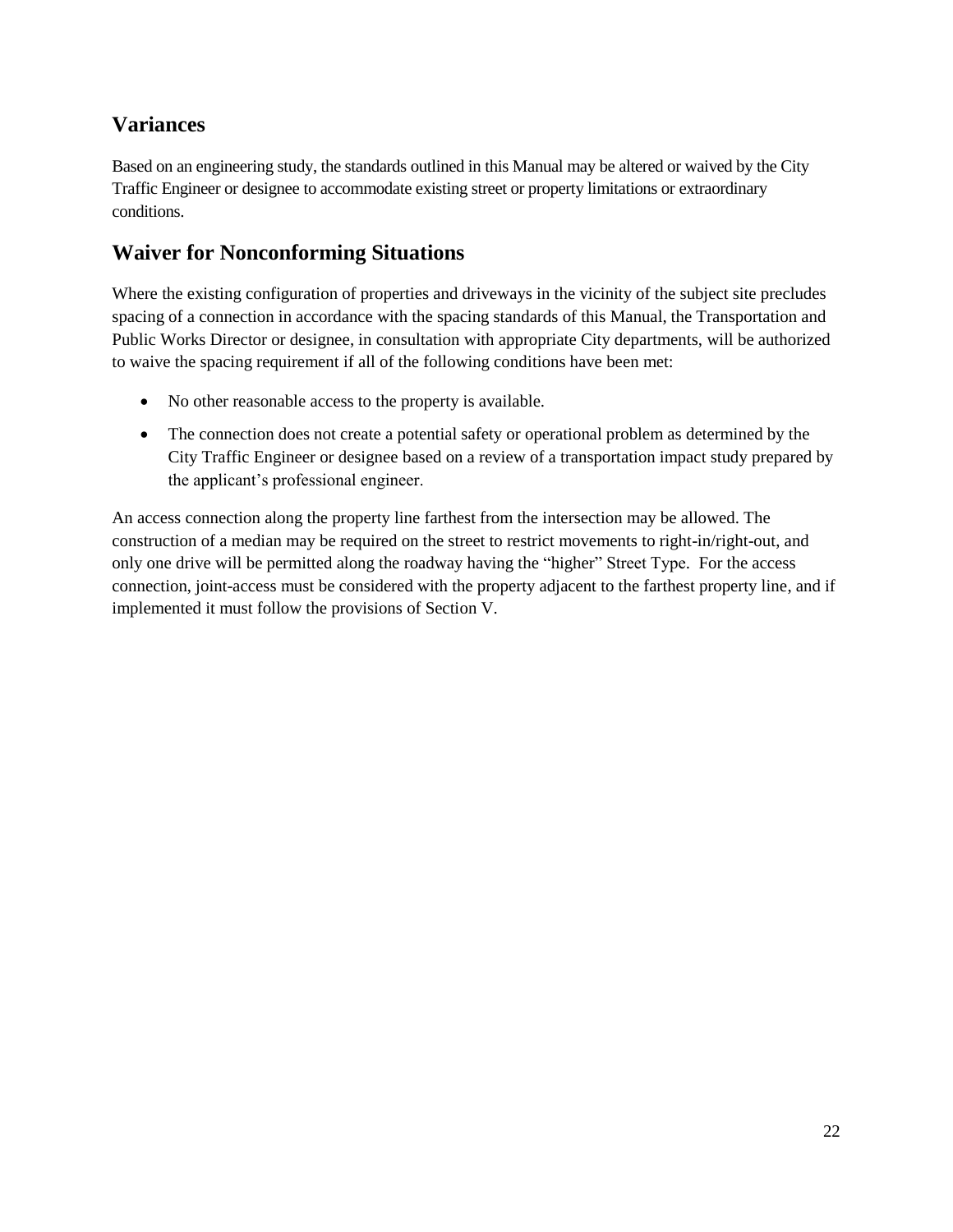## <span id="page-24-0"></span>**Variances**

Based on an engineering study, the standards outlined in this Manual may be altered or waived by the City Traffic Engineer or designee to accommodate existing street or property limitations or extraordinary conditions.

## <span id="page-24-1"></span>**Waiver for Nonconforming Situations**

Where the existing configuration of properties and driveways in the vicinity of the subject site precludes spacing of a connection in accordance with the spacing standards of this Manual, the Transportation and Public Works Director or designee, in consultation with appropriate City departments, will be authorized to waive the spacing requirement if all of the following conditions have been met:

- No other reasonable access to the property is available.
- The connection does not create a potential safety or operational problem as determined by the City Traffic Engineer or designee based on a review of a transportation impact study prepared by the applicant's professional engineer.

An access connection along the property line farthest from the intersection may be allowed. The construction of a median may be required on the street to restrict movements to right-in/right-out, and only one drive will be permitted along the roadway having the "higher" Street Type. For the access connection, joint-access must be considered with the property adjacent to the farthest property line, and if implemented it must follow the provisions of Section V.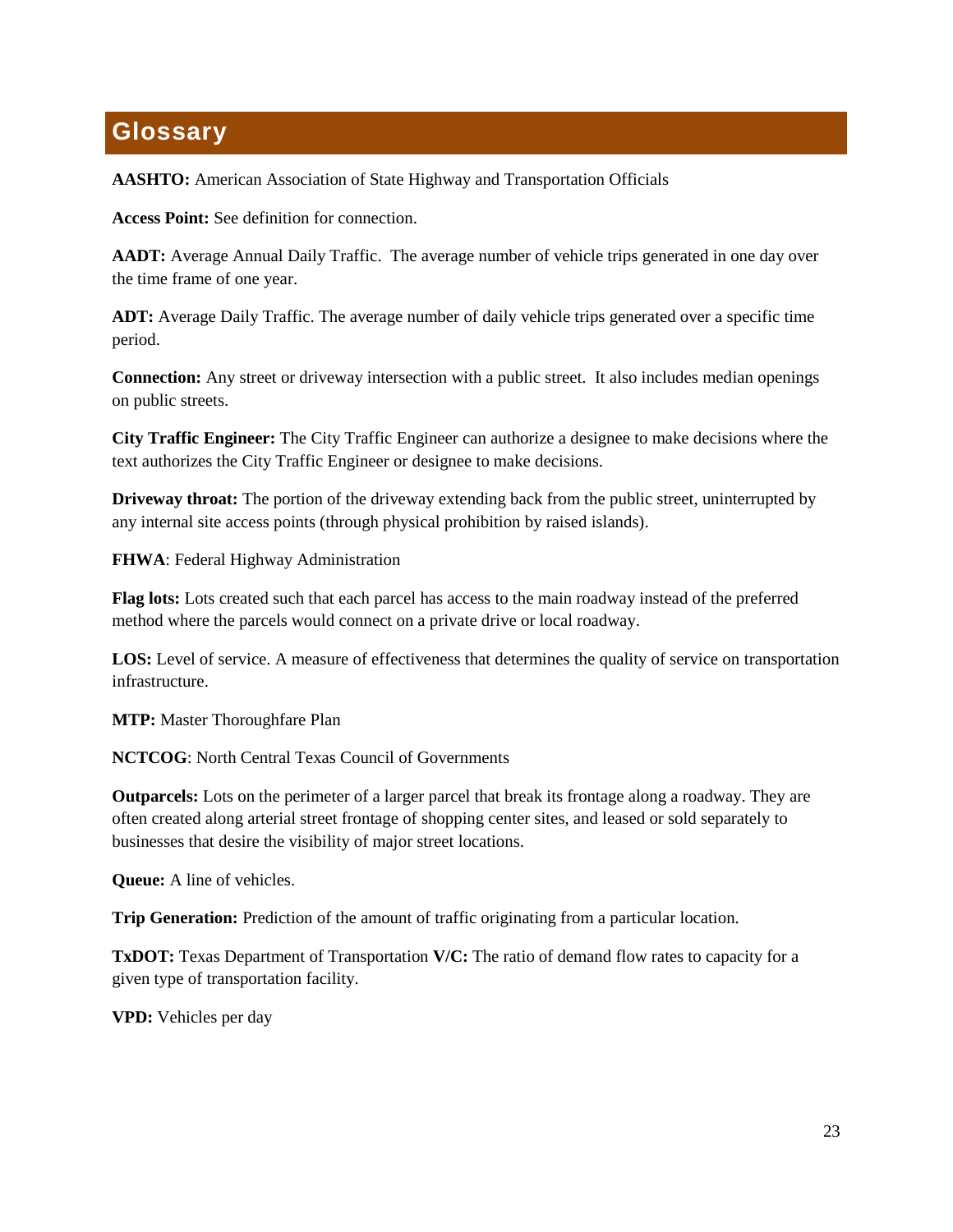## <span id="page-25-0"></span>**Glossary**

**AASHTO:** American Association of State Highway and Transportation Officials

**Access Point:** See definition for connection.

AADT: Average Annual Daily Traffic. The average number of vehicle trips generated in one day over the time frame of one year.

**ADT:** Average Daily Traffic. The average number of daily vehicle trips generated over a specific time period.

**Connection:** Any street or driveway intersection with a public street. It also includes median openings on public streets.

**City Traffic Engineer:** The City Traffic Engineer can authorize a designee to make decisions where the text authorizes the City Traffic Engineer or designee to make decisions.

**Driveway throat:** The portion of the driveway extending back from the public street, uninterrupted by any internal site access points (through physical prohibition by raised islands).

**FHWA**: Federal Highway Administration

**Flag lots:** Lots created such that each parcel has access to the main roadway instead of the preferred method where the parcels would connect on a private drive or local roadway.

**LOS:** Level of service. A measure of effectiveness that determines the quality of service on transportation infrastructure.

**MTP:** Master Thoroughfare Plan

**NCTCOG**: North Central Texas Council of Governments

**Outparcels:** Lots on the perimeter of a larger parcel that break its frontage along a roadway. They are often created along arterial street frontage of shopping center sites, and leased or sold separately to businesses that desire the visibility of major street locations.

**Queue:** A line of vehicles.

**Trip Generation:** Prediction of the amount of traffic originating from a particular location.

**TxDOT:** Texas Department of Transportation  $V/C$ : The ratio of demand flow rates to capacity for a given type of transportation facility.

**VPD:** Vehicles per day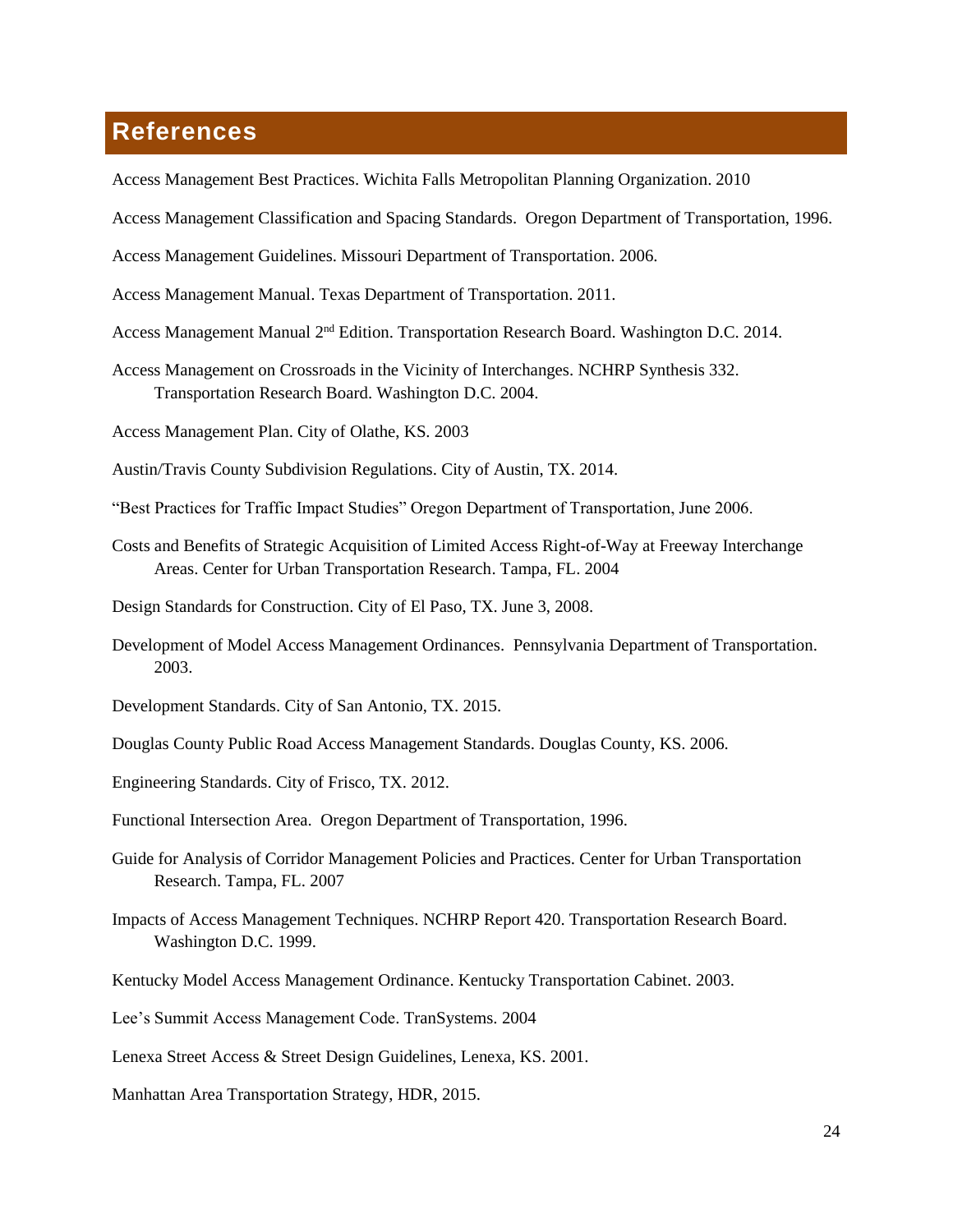## <span id="page-26-0"></span>**References**

Access Management Best Practices. Wichita Falls Metropolitan Planning Organization. 2010

Access Management Classification and Spacing Standards. Oregon Department of Transportation, 1996.

Access Management Guidelines. Missouri Department of Transportation. 2006.

Access Management Manual. Texas Department of Transportation. 2011.

- Access Management Manual 2nd Edition. Transportation Research Board. Washington D.C. 2014.
- Access Management on Crossroads in the Vicinity of Interchanges. NCHRP Synthesis 332. Transportation Research Board. Washington D.C. 2004.

Access Management Plan. City of Olathe, KS. 2003

Austin/Travis County Subdivision Regulations. City of Austin, TX. 2014.

- "Best Practices for Traffic Impact Studies" Oregon Department of Transportation, June 2006.
- Costs and Benefits of Strategic Acquisition of Limited Access Right-of-Way at Freeway Interchange Areas. Center for Urban Transportation Research. Tampa, FL. 2004
- Design Standards for Construction. City of El Paso, TX. June 3, 2008.
- Development of Model Access Management Ordinances. Pennsylvania Department of Transportation. 2003.
- Development Standards. City of San Antonio, TX. 2015.
- Douglas County Public Road Access Management Standards. Douglas County, KS. 2006.
- Engineering Standards. City of Frisco, TX. 2012.
- Functional Intersection Area. Oregon Department of Transportation, 1996.
- Guide for Analysis of Corridor Management Policies and Practices. Center for Urban Transportation Research. Tampa, FL. 2007
- Impacts of Access Management Techniques. NCHRP Report 420. Transportation Research Board. Washington D.C. 1999.
- Kentucky Model Access Management Ordinance. Kentucky Transportation Cabinet. 2003.
- Lee's Summit Access Management Code. TranSystems. 2004
- Lenexa Street Access & Street Design Guidelines, Lenexa, KS. 2001.
- Manhattan Area Transportation Strategy, HDR, 2015.